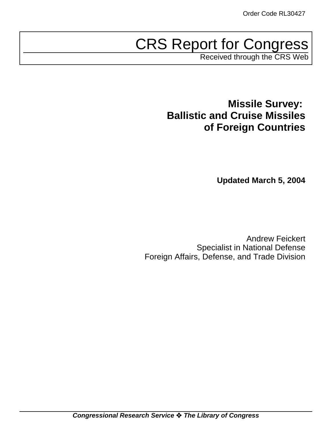# CRS Report for Congress

Received through the CRS Web

## **Missile Survey: Ballistic and Cruise Missiles of Foreign Countries**

**Updated March 5, 2004**

Andrew Feickert Specialist in National Defense Foreign Affairs, Defense, and Trade Division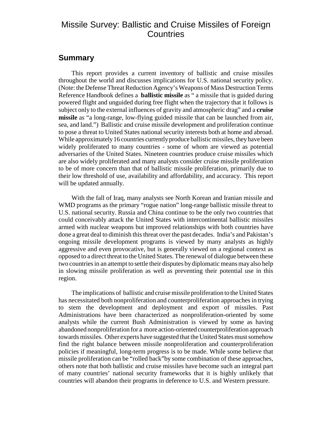## Missile Survey: Ballistic and Cruise Missiles of Foreign **Countries**

### **Summary**

This report provides a current inventory of ballistic and cruise missiles throughout the world and discusses implications for U.S. national security policy. (Note: the Defense Threat Reduction Agency's Weapons of Mass Destruction Terms Reference Handbook defines a **ballistic missile** as " a missile that is guided during powered flight and unguided during free flight when the trajectory that it follows is subject only to the external influences of gravity and atmospheric drag" and a **cruise missile** as "a long-range, low-flying guided missile that can be launched from air, sea, and land.") Ballistic and cruise missile development and proliferation continue to pose a threat to United States national security interests both at home and abroad. While approximately 16 countries currently produce ballistic missiles, they have been widely proliferated to many countries - some of whom are viewed as potential adversaries of the United States. Nineteen countries produce cruise missiles which are also widely proliferated and many analysts consider cruise missile proliferation to be of more concern than that of ballistic missile proliferation, primarily due to their low threshold of use, availability and affordability, and accuracy. This report will be updated annually.

With the fall of Iraq, many analysts see North Korean and Iranian missile and WMD programs as the primary "rogue nation" long-range ballistic missile threat to U.S. national security. Russia and China continue to be the only two countries that could conceivably attack the United States with intercontinental ballistic missiles armed with nuclear weapons but improved relationships with both countries have done a great deal to diminish this threat over the past decades. India's and Pakistan's ongoing missile development programs is viewed by many analysts as highly aggressive and even provocative, but is generally viewed on a regional context as opposed to a direct threat to the United States. The renewal of dialogue between these two countries in an attempt to settle their disputes by diplomatic means may also help in slowing missile proliferation as well as preventing their potential use in this region.

The implications of ballistic and cruise missile proliferation to the United States has necessitated both nonproliferation and counterproliferation approaches in trying to stem the development and deployment and export of missiles. Past Administrations have been characterized as nonproliferation-oriented by some analysts while the current Bush Administration is viewed by some as having abandoned nonproliferation for a more action-oriented counterproliferation approach towards missiles. Other experts have suggested that the United States must somehow find the right balance between missile nonproliferation and counterproliferation policies if meaningful, long-term progress is to be made. While some believe that missile proliferation can be "rolled back"by some combination of these approaches, others note that both ballistic and cruise missiles have become such an integral part of many countries' national security frameworks that it is highly unlikely that countries will abandon their programs in deference to U.S. and Western pressure.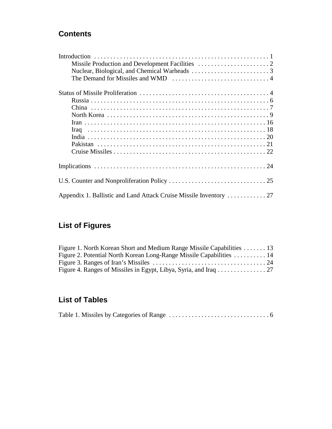## **Contents**

## **List of Figures**

| Figure 1. North Korean Short and Medium Range Missile Capabilities  13 |  |
|------------------------------------------------------------------------|--|
| Figure 2. Potential North Korean Long-Range Missile Capabilities  14   |  |
|                                                                        |  |
|                                                                        |  |

## **List of Tables**

|--|--|--|--|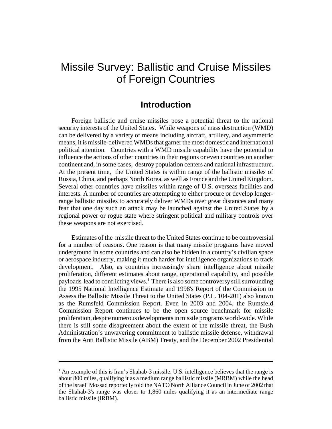## Missile Survey: Ballistic and Cruise Missiles of Foreign Countries

## **Introduction**

Foreign ballistic and cruise missiles pose a potential threat to the national security interests of the United States. While weapons of mass destruction (WMD) can be delivered by a variety of means including aircraft, artillery, and asymmetric means, it is missile-delivered WMDs that garner the most domestic and international political attention. Countries with a WMD missile capability have the potential to influence the actions of other countries in their regions or even countries on another continent and, in some cases, destroy population centers and national infrastructure. At the present time, the United States is within range of the ballistic missiles of Russia, China, and perhaps North Korea, as well as France and the United Kingdom. Several other countries have missiles within range of U.S. overseas facilities and interests. A number of countries are attempting to either procure or develop longerrange ballistic missiles to accurately deliver WMDs over great distances and many fear that one day such an attack may be launched against the United States by a regional power or rogue state where stringent political and military controls over these weapons are not exercised.

Estimates of the missile threat to the United States continue to be controversial for a number of reasons. One reason is that many missile programs have moved underground in some countries and can also be hidden in a country's civilian space or aerospace industry, making it much harder for intelligence organizations to track development. Also, as countries increasingly share intelligence about missile proliferation, different estimates about range, operational capability, and possible payloads lead to conflicting views.<sup>1</sup> There is also some controversy still surrounding the 1995 National Intelligence Estimate and 1998's Report of the Commission to Assess the Ballistic Missile Threat to the United States (P.L. 104-201) also known as the Rumsfeld Commission Report. Even in 2003 and 2004, the Rumsfeld Commission Report continues to be the open source benchmark for missile proliferation, despite numerous developments in missile programs world-wide. While there is still some disagreement about the extent of the missile threat, the Bush Administration's unwavering commitment to ballistic missile defense, withdrawal from the Anti Ballistic Missile (ABM) Treaty, and the December 2002 Presidential

<sup>&</sup>lt;sup>1</sup> An example of this is Iran's Shahab-3 missile. U.S. intelligence believes that the range is about 800 miles, qualifying it as a medium range ballistic missile (MRBM) while the head of the Israeli Mossad reportedly told the NATO North Alliance Council in June of 2002 that the Shahab-3's range was closer to 1,860 miles qualifying it as an intermediate range ballistic missile (IRBM).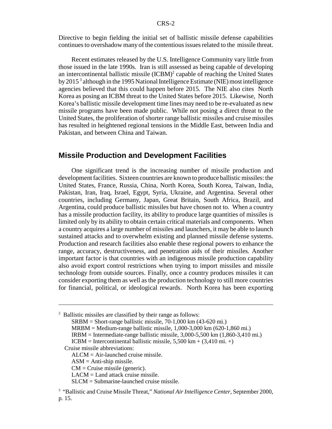Directive to begin fielding the initial set of ballistic missile defense capabilities continues to overshadow many of the contentious issues related to the missile threat.

Recent estimates released by the U.S. Intelligence Community vary little from those issued in the late 1990s. Iran is still assessed as being capable of developing an intercontinental ballistic missile  $(ICBM)^2$  capable of reaching the United States by 2015<sup>3</sup> although in the 1995 National Intelligence Estimate (NIE) most intelligence agencies believed that this could happen before 2015. The NIE also cites North Korea as posing an ICBM threat to the United States before 2015. Likewise, North Korea's ballistic missile development time lines may need to be re-evaluated as new missile programs have been made public. While not posing a direct threat to the United States, the proliferation of shorter range ballistic missiles and cruise missiles has resulted in heightened regional tensions in the Middle East, between India and Pakistan, and between China and Taiwan.

#### **Missile Production and Development Facilities**

One significant trend is the increasing number of missile production and development facilities. Sixteen countries are known to produce ballistic missiles: the United States, France, Russia, China, North Korea, South Korea, Taiwan, India, Pakistan, Iran, Iraq, Israel, Egypt, Syria, Ukraine, and Argentina. Several other countries, including Germany, Japan, Great Britain, South Africa, Brazil, and Argentina, could produce ballistic missiles but have chosen not to. When a country has a missile production facility, its ability to produce large quantities of missiles is limited only by its ability to obtain certain critical materials and components. When a country acquires a large number of missiles and launchers, it may be able to launch sustained attacks and to overwhelm existing and planned missile defense systems. Production and research facilities also enable these regional powers to enhance the range, accuracy, destructiveness, and penetration aids of their missiles. Another important factor is that countries with an indigenous missile production capability also avoid export control restrictions when trying to import missiles and missile technology from outside sources. Finally, once a country produces missiles it can consider exporting them as well as the production technology to still more countries for financial, political, or ideological rewards. North Korea has been exporting

 $2$  Ballistic missiles are classified by their range as follows:  $SRBM = Short-range ballistic missile, 70-1,000 km (43-620 mi.)$ MRBM = Medium-range ballistic missile, 1,000-3,000 km (620-1,860 mi.)  $IRBM = Intermediate-range ballistic missile, 3,000-5,500 km (1,860-3,410 mi.)$ ICBM = Intercontinental ballistic missile,  $5{,}500 \text{ km} + (3{,}410 \text{ mi.} +)$  Cruise missile abbreviations: ALCM = Air-launched cruise missile.  $ASM = Anti-ship \text{ missile}.$ CM = Cruise missile (generic). LACM = Land attack cruise missile. SLCM = Submarine-launched cruise missile. <sup>3</sup> "Ballistic and Cruise Missile Threat," *National Air Intelligence Center*, September 2000, p. 15.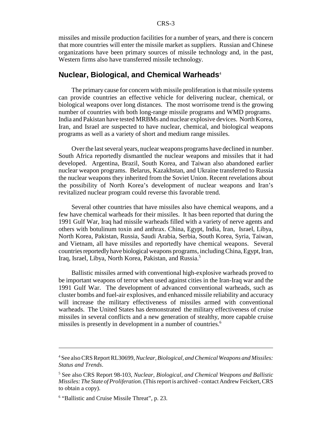missiles and missile production facilities for a number of years, and there is concern that more countries will enter the missile market as suppliers. Russian and Chinese organizations have been primary sources of missile technology and, in the past, Western firms also have transferred missile technology.

#### **Nuclear, Biological, and Chemical Warheads**<sup>4</sup>

The primary cause for concern with missile proliferation is that missile systems can provide countries an effective vehicle for delivering nuclear, chemical, or biological weapons over long distances. The most worrisome trend is the growing number of countries with both long-range missile programs and WMD programs. India and Pakistan have tested MRBMs and nuclear explosive devices. North Korea, Iran, and Israel are suspected to have nuclear, chemical, and biological weapons programs as well as a variety of short and medium range missiles.

Over the last several years, nuclear weapons programs have declined in number. South Africa reportedly dismantled the nuclear weapons and missiles that it had developed. Argentina, Brazil, South Korea, and Taiwan also abandoned earlier nuclear weapon programs. Belarus, Kazakhstan, and Ukraine transferred to Russia the nuclear weapons they inherited from the Soviet Union. Recent revelations about the possibility of North Korea's development of nuclear weapons and Iran's revitalized nuclear program could reverse this favorable trend.

Several other countries that have missiles also have chemical weapons, and a few have chemical warheads for their missiles. It has been reported that during the 1991 Gulf War, Iraq had missile warheads filled with a variety of nerve agents and others with botulinum toxin and anthrax. China, Egypt, India, Iran, Israel, Libya, North Korea, Pakistan, Russia, Saudi Arabia, Serbia, South Korea, Syria, Taiwan, and Vietnam, all have missiles and reportedly have chemical weapons. Several countries reportedly have biological weapons programs, including China, Egypt, Iran, Iraq, Israel, Libya, North Korea, Pakistan, and Russia.5

Ballistic missiles armed with conventional high-explosive warheads proved to be important weapons of terror when used against cities in the Iran-Iraq war and the 1991 Gulf War. The development of advanced conventional warheads, such as cluster bombs and fuel-air explosives, and enhanced missile reliability and accuracy will increase the military effectiveness of missiles armed with conventional warheads. The United States has demonstrated the military effectiveness of cruise missiles in several conflicts and a new generation of stealthy, more capable cruise missiles is presently in development in a number of countries.<sup>6</sup>

<sup>4</sup> See also CRS Report RL30699, *Nuclear, Biological, and Chemical Weapons and Missiles: Status and Trends*.

<sup>5</sup> See also CRS Report 98-103, *Nuclear, Biological, and Chemical Weapons and Ballistic Missiles: The State of Proliferation.* (This report is archived - contact Andrew Feickert, CRS to obtain a copy).

<sup>6</sup> "Ballistic and Cruise Missile Threat"*,* p. 23.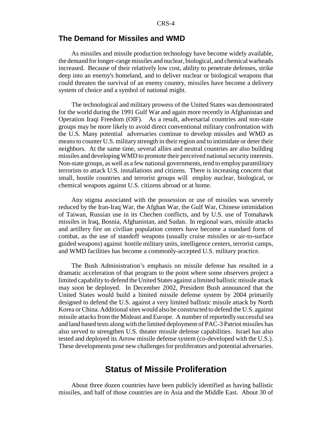#### **The Demand for Missiles and WMD**

As missiles and missile production technology have become widely available, the demand for longer-range missiles and nuclear, biological, and chemical warheads increased. Because of their relatively low cost, ability to penetrate defenses, strike deep into an enemy's homeland, and to deliver nuclear or biological weapons that could threaten the survival of an enemy country, missiles have become a delivery system of choice and a symbol of national might.

The technological and military prowess of the United States was demonstrated for the world during the 1991 Gulf War and again more recently in Afghanistan and Operation Iraqi Freedom (OIF). As a result, adversarial countries and non-state groups may be more likely to avoid direct conventional military confrontation with the U.S. Many potential adversaries continue to develop missiles and WMD as means to counter U.S. military strength in their region and to intimidate or deter their neighbors. At the same time, several allies and neutral countries are also building missiles and developing WMD to promote their perceived national security interests. Non-state groups, as well as a few national governments, tend to employ paramilitary terrorists to attack U.S. installations and citizens. There is increasing concern that small, hostile countries and terrorist groups will employ nuclear, biological, or chemical weapons against U.S. citizens abroad or at home.

Any stigma associated with the possession or use of missiles was severely reduced by the Iran-Iraq War, the Afghan War, the Gulf War, Chinese intimidation of Taiwan, Russian use in its Chechen conflicts, and by U.S. use of Tomahawk missiles in Iraq, Bosnia, Afghanistan, and Sudan. In regional wars, missile attacks and artillery fire on civilian population centers have become a standard form of combat, as the use of standoff weapons (usually cruise missiles or air-to-surface guided weapons) against hostile military units, intelligence centers, terrorist camps, and WMD facilities has become a commonly-accepted U.S. military practice.

The Bush Administration's emphasis on missile defense has resulted in a dramatic acceleration of that program to the point where some observers project a limited capability to defend the United States against a limited ballistic missile attack may soon be deployed. In December 2002, President Bush announced that the United States would build a limited missile defense system by 2004 primarily designed to defend the U.S. against a very limited ballistic missile attack by North Korea or China. Additional sites would also be constructed to defend the U.S. against missile attacks from the Mideast and Europe. A number of reportedly successful sea and land based tests along with the limited deployment of PAC-3 Patriot missiles has also served to strengthen U.S. theater missile defense capabilities. Israel has also tested and deployed its Arrow missile defense system (co-developed with the U.S.). These developments pose new challenges for proliferators and potential adversaries.

## **Status of Missile Proliferation**

About three dozen countries have been publicly identified as having ballistic missiles, and half of those countries are in Asia and the Middle East. About 30 of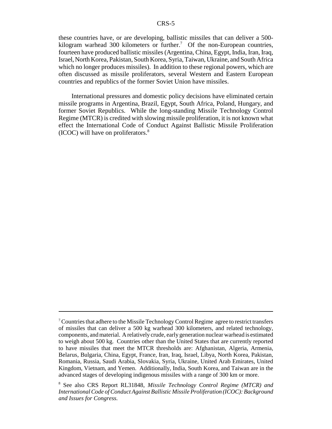these countries have, or are developing, ballistic missiles that can deliver a 500 kilogram warhead 300 kilometers or further.<sup>7</sup> Of the non-European countries, fourteen have produced ballistic missiles (Argentina, China, Egypt, India, Iran, Iraq, Israel, North Korea, Pakistan, South Korea, Syria, Taiwan, Ukraine, and South Africa which no longer produces missiles). In addition to these regional powers, which are often discussed as missile proliferators, several Western and Eastern European countries and republics of the former Soviet Union have missiles.

International pressures and domestic policy decisions have eliminated certain missile programs in Argentina, Brazil, Egypt, South Africa, Poland, Hungary, and former Soviet Republics. While the long-standing Missile Technology Control Regime (MTCR) is credited with slowing missile proliferation, it is not known what effect the International Code of Conduct Against Ballistic Missile Proliferation (ICOC) will have on proliferators. $8<sup>8</sup>$ 

 $7$  Countries that adhere to the Missile Technology Control Regime agree to restrict transfers of missiles that can deliver a 500 kg warhead 300 kilometers, and related technology, components, and material. A relatively crude, early generation nuclear warhead is estimated to weigh about 500 kg. Countries other than the United States that are currently reported to have missiles that meet the MTCR thresholds are: Afghanistan, Algeria, Armenia, Belarus, Bulgaria, China, Egypt, France, Iran, Iraq, Israel, Libya, North Korea, Pakistan, Romania, Russia, Saudi Arabia, Slovakia, Syria, Ukraine, United Arab Emirates, United Kingdom, Vietnam, and Yemen. Additionally, India, South Korea, and Taiwan are in the advanced stages of developing indigenous missiles with a range of 300 km or more.

<sup>8</sup> See also CRS Report RL31848, *Missile Technology Control Regime (MTCR) and International Code of Conduct Against Ballistic Missile Proliferation (ICOC): Background and Issues for Congress.*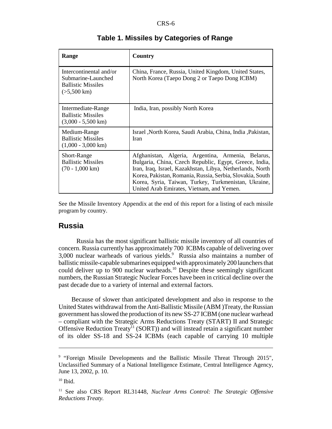| Range                                                                                               | Country                                                                                                                                                                                                                                                                                                                                     |
|-----------------------------------------------------------------------------------------------------|---------------------------------------------------------------------------------------------------------------------------------------------------------------------------------------------------------------------------------------------------------------------------------------------------------------------------------------------|
| Intercontinental and/or<br>Submarine-Launched<br><b>Ballistic Missiles</b><br>$(>5,500 \text{ km})$ | China, France, Russia, United Kingdom, United States,<br>North Korea (Taepo Dong 2 or Taepo Dong ICBM)                                                                                                                                                                                                                                      |
| Intermediate-Range<br><b>Ballistic Missiles</b><br>$(3,000 - 5,500 \text{ km})$                     | India, Iran, possibly North Korea                                                                                                                                                                                                                                                                                                           |
| Medium-Range<br><b>Ballistic Missiles</b><br>$(1,000 - 3,000 \text{ km})$                           | Israel , North Korea, Saudi Arabia, China, India, Pakistan,<br>Iran                                                                                                                                                                                                                                                                         |
| Short-Range<br><b>Ballistic Missiles</b><br>$(70 - 1,000 \text{ km})$                               | Afghanistan, Algeria, Argentina, Armenia, Belarus,<br>Bulgaria, China, Czech Republic, Egypt, Greece, India,<br>Iran, Iraq, Israel, Kazakhstan, Libya, Netherlands, North<br>Korea, Pakistan, Romania, Russia, Serbia, Slovakia, South<br>Korea, Syria, Taiwan, Turkey, Turkmenistan, Ukraine,<br>United Arab Emirates, Vietnam, and Yemen. |

#### **Table 1. Missiles by Categories of Range**

See the Missile Inventory Appendix at the end of this report for a listing of each missile program by country.

#### **Russia**

Russia has the most significant ballistic missile inventory of all countries of concern. Russia currently has approximately 700 ICBMs capable of delivering over 3,000 nuclear warheads of various yields.<sup>9</sup> Russia also maintains a number of ballistic missile-capable submarines equipped with approximately 200 launchers that could deliver up to 900 nuclear warheads.<sup>10</sup> Despite these seemingly significant numbers, the Russian Strategic Nuclear Forces have been in critical decline over the past decade due to a variety of internal and external factors.

Because of slower than anticipated development and also in response to the United States withdrawal from the Anti-Ballistic Missile (ABM )Treaty, the Russian government has slowed the production of its new SS-27 ICBM (one nuclear warhead – compliant with the Strategic Arms Reductions Treaty (START) II and Strategic Offensive Reduction Treaty<sup>11</sup> (SORT)) and will instead retain a significant number of its older SS-18 and SS-24 ICBMs (each capable of carrying 10 multiple

<sup>9</sup> "Foreign Missile Developments and the Ballistic Missile Threat Through 2015"*,* Unclassified Summary of a National Intelligence Estimate, Central Intelligence Agency, June 13, 2002, p. 10.

 $10$  Ibid.

<sup>11</sup> See also CRS Report RL31448, *Nuclear Arms Control: The Strategic Offensive Reductions Treaty.*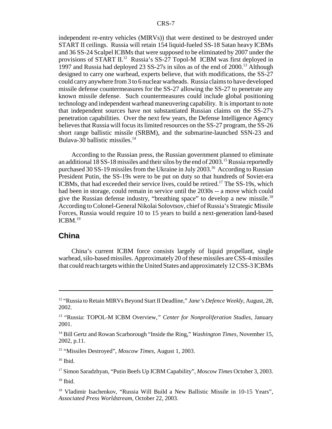independent re-entry vehicles (MIRVs)) that were destined to be destroyed under START II ceilings. Russia will retain 154 liquid-fueled SS-18 Satan heavy ICBMs and 36 SS-24 Scalpel ICBMs that were supposed to be eliminated by 2007 under the provisions of START II.<sup>12</sup> Russia's SS-27 Topol-M ICBM was first deployed in 1997 and Russia had deployed 23 SS-27s in silos as of the end of 2000.<sup>13</sup> Although designed to carry one warhead, experts believe, that with modifications, the SS-27 could carry anywhere from 3 to 6 nuclear warheads. Russia claims to have developed missile defense countermeasures for the SS-27 allowing the SS-27 to penetrate any known missile defense. Such countermeasures could include global positioning technology and independent warhead maneuvering capability. It is important to note that independent sources have not substantiated Russian claims on the SS-27's penetration capabilities. Over the next few years, the Defense Intelligence Agency believes that Russia will focus its limited resources on the SS-27 program, the SS-26 short range ballistic missile (SRBM), and the submarine-launched SSN-23 and Bulava-30 ballistic missiles.<sup>14</sup>

According to the Russian press, the Russian government planned to eliminate an additional 18 SS-18 missiles and their silos by the end of 2003.<sup>15</sup> Russia reportedly purchased 30 SS-19 missiles from the Ukraine in July 2003.<sup>16</sup> According to Russian President Putin, the SS-19s were to be put on duty so that hundreds of Soviet-era ICBMs, that had exceeded their service lives, could be retired.17 The SS-19s, which had been in storage, could remain in service until the 2030s -- a move which could give the Russian defense industry, "breathing space" to develop a new missile.<sup>18</sup> According to Colonel-General Nikolai Solovtsov, chief of Russia's Strategic Missile Forces, Russia would require 10 to 15 years to build a next-generation land-based  $ICBM.<sup>19</sup>$ 

#### **China**

China's current ICBM force consists largely of liquid propellant, single warhead, silo-based missiles. Approximately 20 of these missiles are CSS-4 missiles that could reach targets within the United States and approximately 12 CSS-3 ICBMs

15 "Missiles Destroyed", *Moscow Times,* August 1, 2003.

 $16$  Ibid.

17 Simon Saradzhyan, "Putin Beefs Up ICBM Capability", *Moscow Times* October 3, 2003.

 $18$  Ibid.

<sup>12 &</sup>quot;Russia to Retain MIRVs Beyond Start II Deadline," *Jane's Defence Weekly*, August, 28, 2002.

<sup>13 &</sup>quot;Russia: TOPOL-M ICBM Overview*," Center for Nonproliferation Studies*, January 2001.

<sup>14</sup> Bill Gertz and Rowan Scarborough "Inside the Ring," *Washington Times*, November 15, 2002, p.11.

<sup>&</sup>lt;sup>19</sup> Vladimir Isachenkov, "Russia Will Build a New Ballistic Missile in 10-15 Years", *Associated Press Worldstream,* October 22, 2003.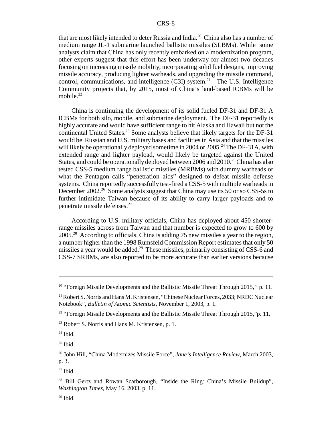that are most likely intended to deter Russia and India.<sup>20</sup> China also has a number of medium range JL-1 submarine launched ballistic missiles (SLBMs). While some analysts claim that China has only recently embarked on a modernization program, other experts suggest that this effort has been underway for almost two decades focusing on increasing missile mobility, incorporating solid fuel designs, improving missile accuracy, producing lighter warheads, and upgrading the missile command, control, communications, and intelligence  $(C3I)$  system.<sup>21</sup> The U.S. Intelligence Community projects that, by 2015, most of China's land-based ICBMs will be mobile. $22$ 

China is continuing the development of its solid fueled DF-31 and DF-31 A ICBMs for both silo, mobile, and submarine deployment. The DF-31 reportedly is highly accurate and would have sufficient range to hit Alaska and Hawaii but not the continental United States.<sup>23</sup> Some analysts believe that likely targets for the DF-31 would be Russian and U.S. military bases and facilities in Asia and that the missiles will likely be operationally deployed sometime in 2004 or 2005.<sup>24</sup> The DF-31A, with extended range and lighter payload, would likely be targeted against the United States, and could be operationally deployed between 2006 and 2010.<sup>25</sup> China has also tested CSS-5 medium range ballistic missiles (MRBMs) with dummy warheads or what the Pentagon calls "penetration aids" designed to defeat missile defense systems. China reportedly successfully test-fired a CSS-5 with multiple warheads in December 2002.<sup>26</sup> Some analysts suggest that China may use its 50 or so CSS-5s to further intimidate Taiwan because of its ability to carry larger payloads and to penetrate missile defenses.27

According to U.S. military officials, China has deployed about 450 shorterrange missiles across from Taiwan and that number is expected to grow to 600 by 2005.28 According to officials, China is adding 75 new missiles a year to the region, a number higher than the 1998 Rumsfeld Commission Report estimates that only 50 missiles a year would be added.<sup>29</sup> These missiles, primarily consisting of CSS-6 and CSS-7 SRBMs, are also reported to be more accurate than earlier versions because

<sup>20 &</sup>quot;Foreign Missile Developments and the Ballistic Missile Threat Through 2015*,"* p. 11.

<sup>&</sup>lt;sup>21</sup> Robert S. Norris and Hans M. Kristensen, "Chinese Nuclear Forces, 2033; NRDC Nuclear Notebook", *Bulletin of Atomic Scientists,* November 1, 2003, p. 1.

<sup>&</sup>lt;sup>22</sup> "Foreign Missile Developments and the Ballistic Missile Threat Through 2015,"p. 11.

 $^{23}$  Robert S. Norris and Hans M. Kristensen, p. 1.

 $24$  Ibid.

 $25$  Ibid.

<sup>26</sup> John Hill, "China Modernizes Missile Force", *Jane's Intelligence Review,* March 2003, p. 3.

 $27$  Ibid.

<sup>&</sup>lt;sup>28</sup> Bill Gertz and Rowan Scarborough, "Inside the Ring: China's Missile Buildup", *Washington Times,* May 16, 2003, p. 11.

 $29$  Ibid.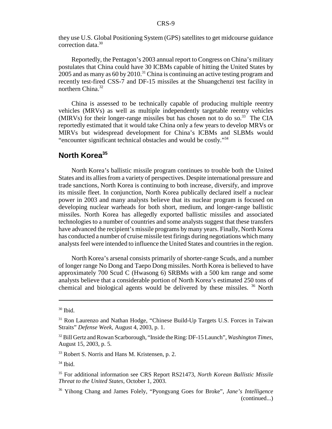they use U.S. Global Positioning System (GPS) satellites to get midcourse guidance correction data.<sup>30</sup>

Reportedly, the Pentagon's 2003 annual report to Congress on China's military postulates that China could have 30 ICBMs capable of hitting the United States by  $2005$  and as many as 60 by 2010.<sup>31</sup> China is continuing an active testing program and recently test-fired CSS-7 and DF-15 missiles at the Shuangchenzi test facility in northern China.<sup>32</sup>

China is assessed to be technically capable of producing multiple reentry vehicles (MRVs) as well as multiple independently targetable reentry vehicles (MIRVs) for their longer-range missiles but has chosen not to do so.<sup>33</sup> The CIA reportedly estimated that it would take China only a few years to develop MRVs or MIRVs but widespread development for China's ICBMs and SLBMs would "encounter significant technical obstacles and would be costly."34

### **North Korea35**

North Korea's ballistic missile program continues to trouble both the United States and its allies from a variety of perspectives. Despite international pressure and trade sanctions, North Korea is continuing to both increase, diversify, and improve its missile fleet. In conjunction, North Korea publically declared itself a nuclear power in 2003 and many analysts believe that its nuclear program is focused on developing nuclear warheads for both short, medium, and longer-range ballistic missiles. North Korea has allegedly exported ballistic missiles and associated technologies to a number of countries and some analysts suggest that these transfers have advanced the recipient's missile programs by many years. Finally, North Korea has conducted a number of cruise missile test firings during negotiations which many analysts feel were intended to influence the United States and countries in the region.

North Korea's arsenal consists primarily of shorter-range Scuds, and a number of longer range No Dong and Taepo Dong missiles. North Korea is believed to have approximately 700 Scud C (Hwasong 6) SRBMs with a 500 km range and some analysts believe that a considerable portion of North Korea's estimated 250 tons of chemical and biological agents would be delivered by these missiles. 36 North

 $30$  Ibid.

<sup>&</sup>lt;sup>31</sup> Ron Laurenzo and Nathan Hodge, "Chinese Build-Up Targets U.S. Forces in Taiwan Straits" *Defense Week,* August 4, 2003, p. 1.

<sup>32</sup> Bill Gertz and Rowan Scarborough, "Inside the Ring: DF-15 Launch", *Washington Times,* August 15, 2003, p. 5.

<sup>33</sup> Robert S. Norris and Hans M. Kristensen, p. 2.

<sup>34</sup> Ibid.

<sup>35</sup> For additional information see CRS Report RS21473, *North Korean Ballistic Missile Threat to the United States*, October 1, 2003.

<sup>36</sup> Yihong Chang and James Folely, "Pyongyang Goes for Broke", *Jane's Intelligence* (continued...)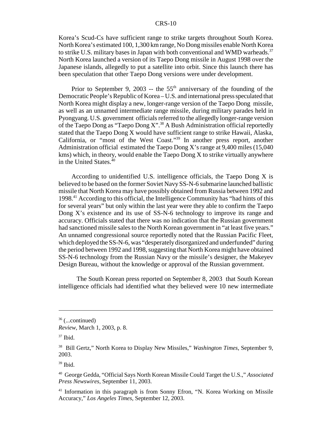Korea's Scud-Cs have sufficient range to strike targets throughout South Korea. North Korea's estimated 100, 1,300 km range, No Dong missiles enable North Korea to strike U.S. military bases in Japan with both conventional and WMD warheads.<sup>37</sup> North Korea launched a version of its Taepo Dong missile in August 1998 over the Japanese islands, allegedly to put a satellite into orbit. Since this launch there has been speculation that other Taepo Dong versions were under development.

Prior to September 9, 2003 -- the  $55<sup>th</sup>$  anniversary of the founding of the Democratic People's Republic of Korea – U.S. and international press speculated that North Korea might display a new, longer-range version of the Taepo Dong missile, as well as an unnamed intermediate range missile, during military parades held in Pyongyang. U.S. government officials referred to the allegedly longer-range version of the Taepo Dong as "Taepo Dong X".<sup>38</sup> A Bush Administration official reportedly stated that the Taepo Dong X would have sufficient range to strike Hawaii, Alaska, California, or "most of the West Coast."39 In another press report, another Administration official estimated the Taepo Dong X's range at 9,400 miles (15,040 kms) which, in theory, would enable the Taepo Dong X to strike virtually anywhere in the United States.40

According to unidentified U.S. intelligence officials, the Taepo Dong X is believed to be based on the former Soviet Navy SS-N-6 submarine launched ballistic missile that North Korea may have possibly obtained from Russia between 1992 and 1998.41 According to this official, the Intelligence Community has "had hints of this for several years" but only within the last year were they able to confirm the Taepo Dong X's existence and its use of SS-N-6 technology to improve its range and accuracy. Officials stated that there was no indication that the Russian government had sanctioned missile sales to the North Korean government in "at least five years." An unnamed congressional source reportedly noted that the Russian Pacific Fleet, which deployed the SS-N-6, was "desperately disorganized and underfunded" during the period between 1992 and 1998, suggesting that North Korea might have obtained SS-N-6 technology from the Russian Navy or the missile's designer, the Makeyev Design Bureau, without the knowledge or approval of the Russian government.

 The South Korean press reported on September 8, 2003 that South Korean intelligence officials had identified what they believed were 10 new intermediate

 $36$  (...continued)

*Review*, March 1, 2003, p. 8.

 $37$  Ibid.

<sup>38</sup> Bill Gertz," North Korea to Display New Missiles," *Washington Times*, September 9, 2003.

 $39$  Ibid.

<sup>40</sup> George Gedda, "Official Says North Korean Missile Could Target the U.S.," *Associated Press Newswires,* September 11, 2003.

<sup>&</sup>lt;sup>41</sup> Information in this paragraph is from Sonny Efron, "N. Korea Working on Missile Accuracy," *Los Angeles Times,* September 12, 2003.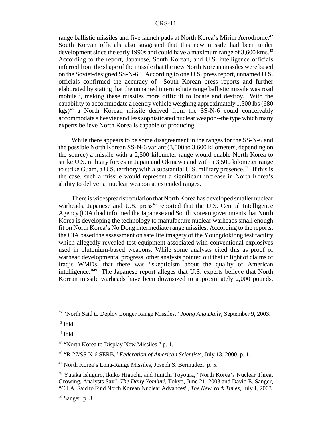range ballistic missiles and five launch pads at North Korea's Mirim Aerodrome.<sup>42</sup> South Korean officials also suggested that this new missile had been under development since the early 1990s and could have a maximum range of 3,600 kms.<sup>43</sup> According to the report, Japanese, South Korean, and U.S. intelligence officials inferred from the shape of the missile that the new North Korean missiles were based on the Soviet-designed SS-N-6.44 According to one U.S. press report, unnamed U.S. officials confirmed the accuracy of South Korean press reports and further elaborated by stating that the unnamed intermediate range ballistic missile was road mobile<sup>45</sup>, making these missiles more difficult to locate and destroy. With the capability to accommodate a reentry vehicle weighing approximately 1,500 lbs (680  $kgs$ <sup>46</sup> a North Korean missile derived from the SS-N-6 could conceivably accommodate a heavier and less sophisticated nuclear weapon--the type which many experts believe North Korea is capable of producing.

While there appears to be some disagreement in the ranges for the SS-N-6 and the possible North Korean SS-N-6 variant (3,000 to 3,600 kilometers, depending on the source) a missile with a 2,500 kilometer range would enable North Korea to strike U.S. military forces in Japan and Okinawa and with a 3,500 kilometer range to strike Guam, a U.S. territory with a substantial U.S. military presence.<sup>47</sup> If this is the case, such a missile would represent a significant increase in North Korea's ability to deliver a nuclear weapon at extended ranges.

There is widespread speculation that North Korea has developed smaller nuclear warheads. Japanese and U.S. press<sup>48</sup> reported that the U.S. Central Intelligence Agency (CIA) had informed the Japanese and South Korean governments that North Korea is developing the technology to manufacture nuclear warheads small enough fit on North Korea's No Dong intermediate range missiles. According to the reports, the CIA based the assessment on satellite imagery of the Youngdoktong test facility which allegedly revealed test equipment associated with conventional explosives used in plutonium-based weapons. While some analysts cited this as proof of warhead developmental progress, other analysts pointed out that in light of claims of Iraq's WMDs, that there was "skepticism about the quality of American intelligence."49 The Japanese report alleges that U.S. experts believe that North Korean missile warheads have been downsized to approximately 2,000 pounds,

<sup>42 &</sup>quot;North Said to Deploy Longer Range Missiles," *Joong Ang Daily,* September 9, 2003.

 $43$  Ibid.

<sup>&</sup>lt;sup>44</sup> Ibid.

<sup>&</sup>lt;sup>45</sup> "North Korea to Display New Missiles," p. 1.

<sup>46 &</sup>quot;R-27/SS-N-6 SERB," *Federation of American Scientists,* July 13, 2000, p. 1.

<sup>47</sup> North Korea's Long-Range Missiles*,* Joseph S. Bermudez, p. 5.

<sup>48</sup> Yutaka Ishiguro, Ikuko Higuchi, and Junichi Toyoura, "North Korea's Nuclear Threat Growing, Analysts Say", *The Daily Yomiuri,* Tokyo, June 21, 2003 and David E. Sanger, "C.I.A. Said to Find North Korean Nuclear Advances", *The New York Times,* July 1, 2003.

 $49$  Sanger, p. 3.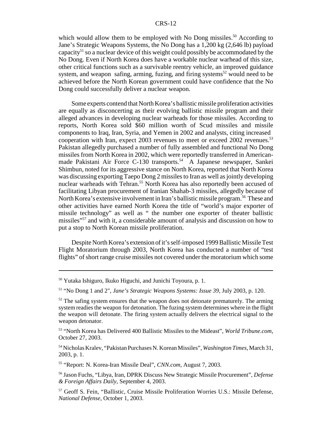which would allow them to be employed with No Dong missiles.<sup>50</sup> According to Jane's Strategic Weapons Systems, the No Dong has a 1,200 kg (2,646 lb) payload capacity<sup>51</sup> so a nuclear device of this weight could possibly be accommodated by the No Dong. Even if North Korea does have a workable nuclear warhead of this size, other critical functions such as a survivable reentry vehicle, an improved guidance system, and weapon safing, arming, fuzing, and firing systems<sup>52</sup> would need to be achieved before the North Korean government could have confidence that the No Dong could successfully deliver a nuclear weapon.

Some experts contend that North Korea's ballistic missile proliferation activities are equally as disconcerting as their evolving ballistic missile program and their alleged advances in developing nuclear warheads for those missiles. According to reports, North Korea sold \$60 million worth of Scud missiles and missile components to Iraq, Iran, Syria, and Yemen in 2002 and analysts, citing increased cooperation with Iran, expect 2003 revenues to meet or exceed 2002 revenues.<sup>53</sup> Pakistan allegedly purchased a number of fully assembled and functional No Dong missiles from North Korea in 2002, which were reportedly transferred in Americanmade Pakistani Air Force C-130 transports.<sup>54</sup> A Japanese newspaper, Sankei Shimbun, noted for its aggressive stance on North Korea, reported that North Korea was discussing exporting Taepo Dong 2 missiles to Iran as well as jointly developing nuclear warheads with Tehran.<sup>55</sup> North Korea has also reportedly been accused of facilitating Libyan procurement of Iranian Shahab-3 missiles, allegedly because of North Korea's extensive involvement in Iran's ballistic missile program.<sup>56</sup> These and other activities have earned North Korea the title of "world's major exporter of missile technology" as well as " the number one exporter of theater ballistic missiles"57 and with it, a considerable amount of analysis and discussion on how to put a stop to North Korean missile proliferation.

Despite North Korea's extension of it's self-imposed 1999 Ballistic Missile Test Flight Moratorium through 2003, North Korea has conducted a number of "test flights" of short range cruise missiles not covered under the moratorium which some

55 "Report: N. Korea-Iran Missile Deal", *CNN.com,* August 7, 2003.

<sup>50</sup> Yutaka Ishiguro, Ikuko Higuchi, and Junichi Toyoura, p. 1.

<sup>51 &</sup>quot;No Dong 1 and 2", *Jane's Strategic Weapons Systems: Issue 39,* July 2003, p. 120.

 $52$  The safing system ensures that the weapon does not detonate prematurely. The arming system readies the weapon for detonation. The fuzing system determines where in the flight the weapon will detonate. The firing system actually delivers the electrical signal to the weapon detonator.

<sup>53 &</sup>quot;North Korea has Delivered 400 Ballistic Missiles to the Mideast", *World Tribune.com,* October 27, 2003.

<sup>54</sup> Nicholas Kralev, "Pakistan Purchases N. Korean Missiles", *Washington Times*, March 31, 2003, p. 1.

<sup>56</sup> Jason Fuchs, "Libya, Iran, DPRK Discuss New Strategic Missile Procurement", *Defense & Foreign Affairs Daily,* September 4, 2003.

<sup>57</sup> Geoff S. Fein, "Ballistic, Cruise Missile Proliferation Worries U.S.: Missile Defense, *National Defense,* October 1, 2003.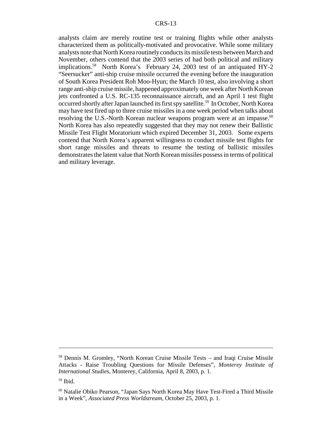analysts claim are merely routine test or training flights while other analysts characterized them as politically-motivated and provocative. While some military analysts note that North Korea routinely conducts its missile tests between March and November, others contend that the 2003 series of had both political and military implications.58 North Korea's February 24, 2003 test of an antiquated HY-2 "Seersucker" anti-ship cruise missile occurred the evening before the inauguration of South Korea President Roh Moo-Hyun; the March 10 test, also involving a short range anti-ship cruise missile, happened approximately one week after North Korean jets confronted a U.S. RC-135 reconnaissance aircraft, and an April 1 test flight occurred shortly after Japan launched its first spy satellite.<sup>59</sup> In October, North Korea may have test fired up to three cruise missiles in a one week period when talks about resolving the U.S.-North Korean nuclear weapons program were at an impasse.<sup>60</sup> North Korea has also repeatedly suggested that they may not renew their Ballistic Missile Test Flight Moratorium which expired December 31, 2003. Some experts contend that North Korea's apparent willingness to conduct missile test flights for short range missiles and threats to resume the testing of ballistic missiles demonstrates the latent value that North Korean missiles possess in terms of political and military leverage.

<sup>58</sup> Dennis M. Gromley, "North Korean Cruise Missile Tests – and Iraqi Cruise Missile Attacks - Raise Troubling Questions for Missile Defenses", *Monterey Institute of International Studies,* Monterey, California, April 8, 2003, p. 1.

<sup>59</sup> Ibid.

<sup>60</sup> Natalie Obiko Pearson, "Japan Says North Korea May Have Test-Fired a Third Missile in a Week", *Associated Press Worldstream,* October 25, 2003, p. 1.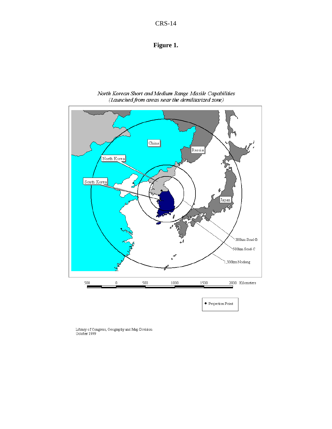#### **Figure 1.**



North Korean Short and Medium Range Missile Capabilities (Launched from areas near the demilitarized zone)

Library of Congress, Geography and Map Division<br>October 1999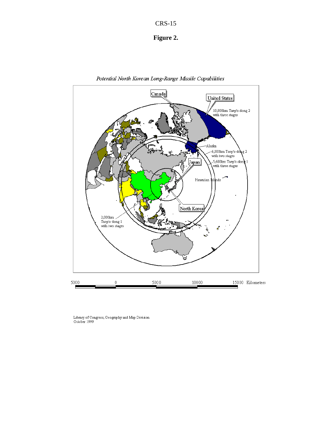



Potential North Korean Long-Range Missile Capabilities

Library of Congress, Geography and Map Division<br>October 1999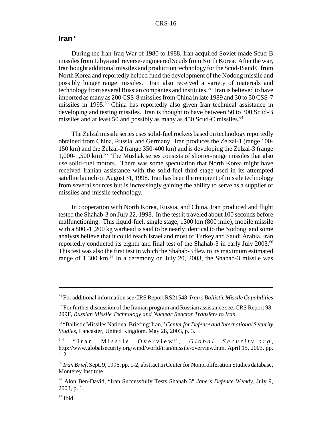#### **Iran** <sup>61</sup>

During the Iran-Iraq War of 1980 to 1988, Iran acquired Soviet-made Scud-B missiles from Libya and reverse-engineered Scuds from North Korea. After the war, Iran bought additional missiles and production technology for the Scud-B and C from North Korea and reportedly helped fund the development of the Nodong missile and possibly longer range missiles. Iran also received a variety of materials and technology from several Russian companies and institutes.<sup>62</sup> Iran is believed to have imported as many as 200 CSS-8 missiles from China in late 1989 and 30 to 50 CSS-7 missiles in 1995.63 China has reportedly also given Iran technical assistance in developing and testing missiles. Iran is thought to have between 50 to 300 Scud-B missiles and at least 50 and possibly as many as 450 Scud-C missiles.<sup>64</sup>

The Zelzal missile series uses solid-fuel rockets based on technology reportedly obtained from China, Russia, and Germany. Iran produces the Zelzal-1 (range 100- 150 km) and the Zelzal-2 (range 350-400 km) and is developing the Zelzal-3 (range 1,000-1,500 km).<sup>65</sup> The Mushak series consists of shorter-range missiles that also use solid-fuel motors. There was some speculation that North Korea might have received Iranian assistance with the solid-fuel third stage used in its attempted satellite launch on August 31, 1998. Iran has been the recipient of missile technology from several sources but is increasingly gaining the ability to serve as a supplier of missiles and missile technology.

In cooperation with North Korea, Russia, and China, Iran produced and flight tested the Shahab-3 on July 22, 1998. In the test it traveled about 100 seconds before malfunctioning. This liquid-fuel, single stage, 1300 km (800 mile), mobile missile with a 800 -1 ,200 kg warhead is said to be nearly identical to the Nodong and some analysts believe that it could reach Israel and most of Turkey and Saudi Arabia. Iran reportedly conducted its eighth and final test of the Shahab-3 in early July 2003.66 This test was also the first test in which the Shahab-3 flew to its maximum estimated range of  $1,300 \text{ km}$ .<sup>67</sup> In a ceremony on July 20, 2003, the Shahab-3 missile was

<sup>61</sup> For additional information see CRS Report RS21548, *Iran's Ballistic Missile Capabilities*

 $62$  For further discussion of the Iranian program and Russian assistance see, CRS Report 98-299F, *Russian Missile Technology and Nuclear Reactor Transfers to Iran.*

<sup>63 &</sup>quot;Ballistic Missiles National Briefing: Iran," *Center for Defense and International Security Studies,* Lancaster, United Kingdom, May 28, 2003, p. 3.

<sup>6 4 &</sup>quot;Iran Missile Overview", *Global Security.org* , http://www.globalsecurity.org/wmd/world/iran/missile-overview.htm, April 15, 2003. pp. 1-2.

<sup>65</sup> *Iran Brief,* Sept. 9, 1996, pp. 1-2, abstract in Center for Nonproliferation Studies database, Monterey Institute.

<sup>66</sup> Alon Ben-David, "Iran Successfully Tests Shahab 3" *Jane's Defence Weekly,* July 9, 2003, p. 1.

 $67$  Ibid.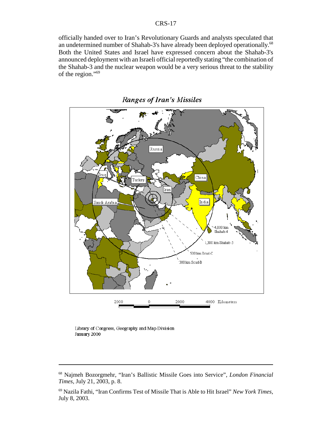officially handed over to Iran's Revolutionary Guards and analysts speculated that an undetermined number of Shahab-3's have already been deployed operationally.<sup>68</sup> Both the United States and Israel have expressed concern about the Shahab-3's announced deployment with an Israeli official reportedly stating "the combination of the Shahab-3 and the nuclear weapon would be a very serious threat to the stability of the region."69



**Ranges of Iran's Missiles** 

Library of Congress, Geography and Map Division January 2000

<sup>68</sup> Najmeh Bozorgmehr, "Iran's Ballistic Missile Goes into Service", *London Financial Times,* July 21, 2003, p. 8.

<sup>69</sup> Nazila Fathi, "Iran Confirms Test of Missile That is Able to Hit Israel" *New York Times,* July 8, 2003.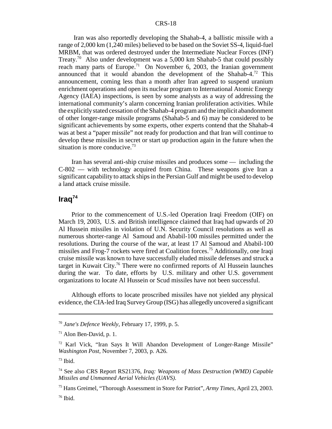Iran was also reportedly developing the Shahab-4, a ballistic missile with a range of 2,000 km (1,240 miles) believed to be based on the Soviet SS-4, liquid-fuel MRBM, that was ordered destroyed under the Intermediate Nuclear Forces (INF) Treaty.70 Also under development was a 5,000 km Shahab-5 that could possibly reach many parts of Europe.<sup>71</sup> On November 6, 2003, the Iranian government announced that it would abandon the development of the Shahab-4. $^{72}$  This announcement, coming less than a month after Iran agreed to suspend uranium enrichment operations and open its nuclear program to International Atomic Energy Agency (IAEA) inspections, is seen by some analysts as a way of addressing the international community's alarm concerning Iranian proliferation activities. While the explicitly stated cessation of the Shahab-4 program and the implicit abandonment of other longer-range missile programs (Shahab-5 and 6) may be considered to be significant achievements by some experts, other experts contend that the Shahab-4 was at best a "paper missile" not ready for production and that Iran will continue to develop these missiles in secret or start up production again in the future when the situation is more conducive.<sup>73</sup>

Iran has several anti-ship cruise missiles and produces some — including the C-802 — with technology acquired from China. These weapons give Iran a significant capability to attack ships in the Persian Gulf and might be used to develop a land attack cruise missile.

## **Iraq74**

Prior to the commencement of U.S.-led Operation Iraqi Freedom (OIF) on March 19, 2003, U.S. and British intelligence claimed that Iraq had upwards of 20 Al Hussein missiles in violation of U.N. Security Council resolutions as well as numerous shorter-range Al Samoud and Ababil-100 missiles permitted under the resolutions. During the course of the war, at least 17 Al Samoud and Ababil-100 missiles and Frog-7 rockets were fired at Coalition forces.75 Additionally, one Iraqi cruise missile was known to have successfully eluded missile defenses and struck a target in Kuwait City.76 There were no confirmed reports of Al Hussein launches during the war. To date, efforts by U.S. military and other U.S. government organizations to locate Al Hussein or Scud missiles have not been successful.

Although efforts to locate proscribed missiles have not yielded any physical evidence, the CIA-led Iraq Survey Group (ISG) has allegedly uncovered a significant

<sup>70</sup> *Jane's Defence Weekly*, February 17, 1999, p. 5.

 $71$  Alon Ben-David, p. 1.

<sup>72</sup> Karl Vick, "Iran Says It Will Abandon Development of Longer-Range Missile" *Washington Post,* November 7, 2003, p. A26.

 $73$  Ibid.

<sup>74</sup> See also CRS Report RS21376, *Iraq: Weapons of Mass Destruction (WMD) Capable Missiles and Unmanned Aerial Vehicles (UAVS)*.

<sup>75</sup> Hans Greimel, "Thorough Assessment in Store for Patriot", *Army Times,* April 23, 2003.

 $76$  Ibid.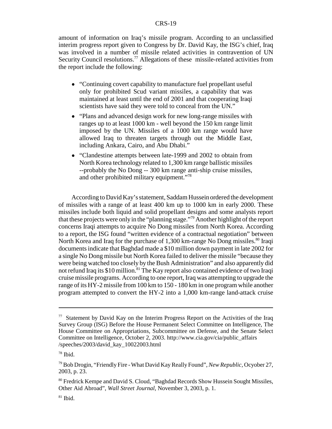amount of information on Iraq's missile program. According to an unclassified interim progress report given to Congress by Dr. David Kay, the ISG's chief, Iraq was involved in a number of missile related activities in contravention of UN Security Council resolutions.<sup>77</sup> Allegations of these missile-related activities from the report include the following:

- "Continuing covert capability to manufacture fuel propellant useful only for prohibited Scud variant missiles, a capability that was maintained at least until the end of 2001 and that cooperating Iraqi scientists have said they were told to conceal from the UN."
- "Plans and advanced design work for new long-range missiles with ranges up to at least 1000 km - well beyond the 150 km range limit imposed by the UN. Missiles of a 1000 km range would have allowed Iraq to threaten targets through out the Middle East, including Ankara, Cairo, and Abu Dhabi."
- ! "Clandestine attempts between late-1999 and 2002 to obtain from North Korea technology related to 1,300 km range ballistic missiles --probably the No Dong -- 300 km range anti-ship cruise missiles, and other prohibited military equipment."78

According to David Kay's statement, Saddam Hussein ordered the development of missiles with a range of at least 400 km up to 1000 km in early 2000. These missiles include both liquid and solid propellant designs and some analysts report that these projects were only in the "planning stage."79 Another highlight of the report concerns Iraqi attempts to acquire No Dong missiles from North Korea. According to a report, the ISG found "written evidence of a contractual negotiation" between North Korea and Iraq for the purchase of  $1,300$  km-range No Dong missiles.<sup>80</sup> Iraqi documents indicate that Baghdad made a \$10 million down payment in late 2002 for a single No Dong missile but North Korea failed to deliver the missile "because they were being watched too closely by the Bush Administration" and also apparently did not refund Iraq its \$10 million.<sup>81</sup> The Kay report also contained evidence of two Iraqi cruise missile programs. According to one report, Iraq was attempting to upgrade the range of its HY-2 missile from 100 km to 150 - 180 km in one program while another program attempted to convert the HY-2 into a 1,000 km-range land-attack cruise

<sup>&</sup>lt;sup>77</sup> Statement by David Kay on the Interim Progress Report on the Activities of the Iraq Survey Group (ISG) Before the House Permanent Select Committee on Intelligence, The House Committee on Appropriations, Subcommittee on Defense, and the Senate Select Committee on Intelligence, October 2, 2003. http://www.cia.gov/cia/public\_affairs /speeches/2003/david\_kay\_10022003.html

<sup>78</sup> Ibid.

<sup>79</sup> Bob Drogin, "Friendly Fire - What David Kay Really Found", *New Republic,* Ocyober 27, 2003, p. 23.

<sup>80</sup> Fredrick Kempe and David S. Cloud, "Baghdad Records Show Hussein Sought Missiles, Other Aid Abroad", *Wall Street Journal,* November 3, 2003, p. 1.

 $81$  Ibid.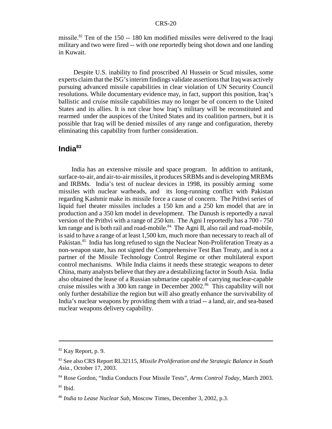missile.<sup>82</sup> Ten of the 150 -- 180 km modified missiles were delivered to the Iraqi military and two were fired -- with one reportedly being shot down and one landing in Kuwait.

 Despite U.S. inability to find proscribed Al Hussein or Scud missiles, some experts claim that the ISG's interim findings validate assertions that Iraq was actively pursuing advanced missile capabilities in clear violation of UN Security Council resolutions. While documentary evidence may, in fact, support this position, Iraq's ballistic and cruise missile capabilities may no longer be of concern to the United States and its allies. It is not clear how Iraq's military will be reconstituted and rearmed under the auspices of the United States and its coalition partners, but it is possible that Iraq will be denied missiles of any range and configuration, thereby eliminating this capability from further consideration.

#### **India83**

India has an extensive missile and space program. In addition to antitank, surface-to-air, and air-to-air missiles, it produces SRBMs and is developing MRBMs and IRBMs. India's test of nuclear devices in 1998, its possibly arming some missiles with nuclear warheads, and its long-running conflict with Pakistan regarding Kashmir make its missile force a cause of concern. The Prithvi series of liquid fuel theater missiles includes a 150 km and a 250 km model that are in production and a 350 km model in development. The Danush is reportedly a naval version of the Prithvi with a range of 250 km. The Agni I reportedly has a 700 - 750 km range and is both rail and road-mobile. $84$  The Agni II, also rail and road-mobile, is said to have a range of at least 1,500 km, much more than necessary to reach all of Pakistan.<sup>85</sup> India has long refused to sign the Nuclear Non-Proliferation Treaty as a non-weapon state, has not signed the Comprehensive Test Ban Treaty, and is not a partner of the Missile Technology Control Regime or other multilateral export control mechanisms. While India claims it needs these strategic weapons to deter China, many analysts believe that they are a destabilizing factor in South Asia. India also obtained the lease of a Russian submarine capable of carrying nuclear-capable cruise missiles with a 300 km range in December 2002.<sup>86</sup> This capability will not only further destabilize the region but will also greatly enhance the survivability of India's nuclear weapons by providing them with a triad -- a land, air, and sea-based nuclear weapons delivery capability.

<sup>82</sup> Kay Report, p. 9.

<sup>83</sup> See also CRS Report RL32115, *Missile Proliferation and the Strategic Balance in South Asia.*, October 17, 2003.

<sup>84</sup> Rose Gordon, "India Conducts Four Missile Tests", *Arms Control Today,* March 2003.  $85$  Ibid.

<sup>86</sup> *India to Lease Nuclear Sub*, Moscow Times, December 3, 2002, p.3.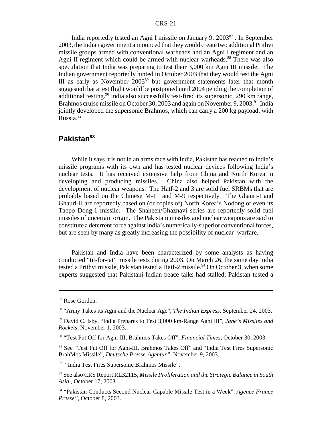India reportedly tested an Agni I missile on January 9, 200387 . In September 2003, the Indian government announced that they would create two additional Prithvi missile groups armed with conventional warheads and an Agni I regiment and an Agni II regiment which could be armed with nuclear warheads.<sup>88</sup> There was also speculation that India was preparing to test their 3,000 km Agni III missile. The Indian government reportedly hinted in October 2003 that they would test the Agni III as early as November 2003<sup>89</sup> but government statements later that month suggested that a test flight would be postponed until 2004 pending the completion of additional testing.<sup>90</sup> India also successfully test-fired its supersonic, 290 km range, Brahmos cruise missile on October 30, 2003 and again on November 9, 2003.<sup>91</sup> India jointly developed the supersonic Brahmos, which can carry a 200 kg payload, with Russia.92

#### **Pakistan93**

While it says it is not in an arms race with India, Pakistan has reacted to India's missile programs with its own and has tested nuclear devices following India's nuclear tests. It has received extensive help from China and North Korea in developing and producing missiles. China also helped Pakistan with the development of nuclear weapons. The Hatf-2 and 3 are solid fuel SRBMs that are probably based on the Chinese M-11 and M-9 respectively. The Ghauri-I and Ghauri-II are reportedly based on (or copies of) North Korea's Nodong or even its Taepo Dong-1 missile. The Shaheen/Ghaznavi series are reportedly solid fuel missiles of uncertain origin. The Pakistani missiles and nuclear weapons are said to constitute a deterrent force against India's numerically-superior conventional forces, but are seen by many as greatly increasing the possibility of nuclear warfare.

Pakistan and India have been characterized by some analysts as having conducted "tit-for-tat" missile tests during 2003. On March 26, the same day India tested a Prithvi missile, Pakistan tested a Hatf-2 missile.<sup>94</sup> On October 3, when some experts suggested that Pakistani-Indian peace talks had stalled, Pakistan tested a

<sup>87</sup> Rose Gordon.

<sup>88 &</sup>quot;Army Takes its Agni and the Nuclear Age", *The Indian Express,* September 24, 2003.

<sup>89</sup> David C. Isby, "India Prepares to Test 3,000 km-Range Agni III", *Jane's Missiles and Rockets,* November 1, 2003.

<sup>90 &</sup>quot;Test Put Off for Agni-III, Brahmos Takes Off", *Financial Times,* October 30, 2003.

<sup>&</sup>lt;sup>91</sup> See "Test Put Off for Agni-III, Brahmos Takes Off" and "India Test Fires Supersonic BrahMos Missile", *Deutsche Presse-Agentur",* November 9, 2003.

<sup>&</sup>lt;sup>92</sup> "India Test Fires Supersonic Brahmos Missile".

<sup>93</sup> See also CRS Report RL32115, *Missile Proliferation and the Strategic Balance in South Asia.*, October 17, 2003.

<sup>94 &</sup>quot;Pakistan Conducts Second Nuclear-Capable Missile Test in a Week", *Agence France Presse",* October 8, 2003.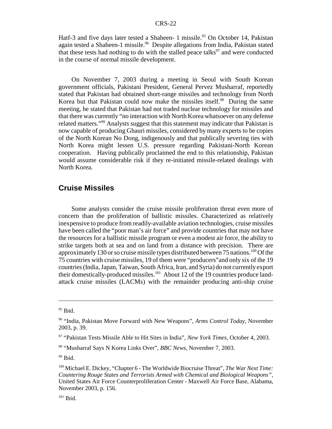Hatf-3 and five days later tested a Shaheen- 1 missile.<sup>95</sup> On October 14, Pakistan again tested a Shaheen-1 missile.<sup>96</sup> Despite allegations from India, Pakistan stated that these tests had nothing to do with the stalled peace talks $\frac{97}{9}$  and were conducted in the course of normal missile development.

On November 7, 2003 during a meeting in Seoul with South Korean government officials, Pakistani President, General Pervez Musharraf, reportedly stated that Pakistan had obtained short-range missiles and technology from North Korea but that Pakistan could now make the missiles itself.<sup>98</sup> During the same meeting, he stated that Pakistan had not traded nuclear technology for missiles and that there was currently "no interaction with North Korea whatsoever on any defense related matters."99 Analysts suggest that this statement may indicate that Pakistan is now capable of producing Ghauri missiles, considered by many experts to be copies of the North Korean No Dong, indigenously and that publically severing ties with North Korea might lessen U.S. pressure regarding Pakistani-North Korean cooperation. Having publically proclaimed the end to this relationship, Pakistan would assume considerable risk if they re-initiated missile-related dealings with North Korea.

#### **Cruise Missiles**

Some analysts consider the cruise missile proliferation threat even more of concern than the proliferation of ballistic missiles. Characterized as relatively inexpensive to produce from readily-available aviation technologies, cruise missiles have been called the "poor man's air force" and provide countries that may not have the resources for a ballistic missile program or even a modest air force, the ability to strike targets both at sea and on land from a distance with precision. There are approximately 130 or so cruise missile types distributed between 75 nations.<sup>100</sup> Of the 75 countries with cruise missiles, 19 of them were "producers"and only six of the 19 countries (India, Japan, Taiwan, South Africa, Iran, and Syria) do not currently export their domestically-produced missiles.<sup>101</sup> About 12 of the 19 countries produce landattack cruise missiles (LACMs) with the remainder producing anti-ship cruise

 $95$  Ibid.

<sup>96 &</sup>quot;India, Pakistan Move Forward with New Weapons", *Arms Control Today,* November 2003, p. 39.

<sup>97 &</sup>quot;Pakistan Tests Missile Able to Hit Sites in India", *New York Times*, October 4, 2003.

<sup>98 &</sup>quot;Musharraf Says N Korea Links Over", *BBC News,* November 7, 2003.

 $99$  Ibid.

<sup>100</sup> Michael E. Dickey, "Chapter 6 - The Worldwide Biocruise Threat", *The War Next Time: Countering Rouge States and Terrorists Armed with Chemical and Biological Weapons",* United States Air Force Counterproliferation Center - Maxwell Air Force Base, Alabama, November 2003, p. 156.

 $101$  Ibid.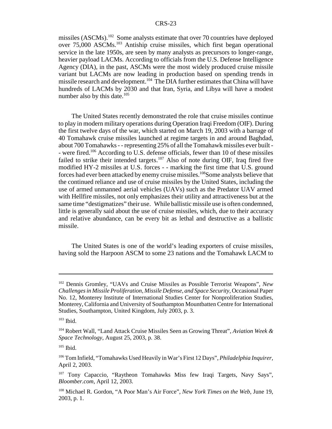missiles (ASCMs).<sup>102</sup> Some analysts estimate that over 70 countries have deployed over 75,000 ASCMs.103 Antiship cruise missiles, which first began operational service in the late 1950s, are seen by many analysts as precursors to longer-range, heavier payload LACMs. According to officials from the U.S. Defense Intelligence Agency (DIA), in the past, ASCMs were the most widely produced cruise missile variant but LACMs are now leading in production based on spending trends in missile research and development.104 The DIA further estimates that China will have hundreds of LACMs by 2030 and that Iran, Syria, and Libya will have a modest number also by this date. $105$ 

The United States recently demonstrated the role that cruise missiles continue to play in modern military operations during Operation Iraqi Freedom (OIF). During the first twelve days of the war, which started on March 19, 2003 with a barrage of 40 Tomahawk cruise missiles launched at regime targets in and around Baghdad, about 700 Tomahawks - - representing 25% of all the Tomahawk missiles ever built - - were fired.<sup>106</sup> According to U.S. defense officials, fewer than 10 of these missiles failed to strike their intended targets.<sup>107</sup> Also of note during OIF, Iraq fired five modified HY-2 missiles at U.S. forces - - marking the first time that U.S. ground forces had ever been attacked by enemy cruise missiles.108Some analysts believe that the continued reliance and use of cruise missiles by the United States, including the use of armed unmanned aerial vehicles (UAVs) such as the Predator UAV armed with Hellfire missiles, not only emphasizes their utility and attractiveness but at the same time "destigmatizes" their use. While ballistic missile use is often condemned, little is generally said about the use of cruise missiles, which, due to their accuracy and relative abundance, can be every bit as lethal and destructive as a ballistic missile.

The United States is one of the world's leading exporters of cruise missiles, having sold the Harpoon ASCM to some 23 nations and the Tomahawk LACM to

<sup>102</sup> Dennis Gromley, "UAVs and Cruise Missiles as Possible Terrorist Weapons", *New Challenges in Missile Proliferation, Missile Defense, and Space Security,* Occasional Paper No. 12, Monterey Institute of International Studies Center for Nonproliferation Studies, Monterey, California and University of Southampton Mountbatten Centre for International Studies, Southampton, United Kingdom, July 2003, p. 3.

 $103$  Ibid.

<sup>104</sup> Robert Wall, "Land Attack Cruise Missiles Seen as Growing Threat", *Aviation Week & Space Technology*, August 25, 2003, p. 38.

 $105$  Ibid.

<sup>106</sup> Tom Infield, "Tomahawks Used Heavily in War's First 12 Days", *Philadelphia Inquirer,* April 2, 2003.

<sup>&</sup>lt;sup>107</sup> Tony Capaccio, "Raytheon Tomahawks Miss few Iraqi Targets, Navy Says", *Bloomber.com,* April 12, 2003.

<sup>108</sup> Michael R. Gordon, "A Poor Man's Air Force", *New York Times on the Web,* June 19, 2003, p. 1.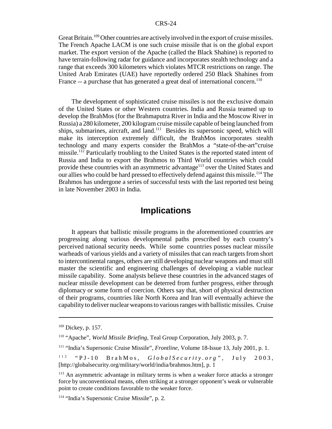Great Britain.<sup>109</sup> Other countries are actively involved in the export of cruise missiles. The French Apache LACM is one such cruise missile that is on the global export market. The export version of the Apache (called the Black Shahine) is reported to have terrain-following radar for guidance and incorporates stealth technology and a range that exceeds 300 kilometers which violates MTCR restrictions on range. The United Arab Emirates (UAE) have reportedly ordered 250 Black Shahines from France -- a purchase that has generated a great deal of international concern.<sup>110</sup>

The development of sophisticated cruise missiles is not the exclusive domain of the United States or other Western countries. India and Russia teamed up to develop the BrahMos (for the Brahmaputra River in India and the Moscow River in Russia) a 280 kilometer, 200 kilogram cruise missile capable of being launched from ships, submarines, aircraft, and land.<sup>111</sup> Besides its supersonic speed, which will make its interception extremely difficult, the BrahMos incorporates stealth technology and many experts consider the BrahMos a "state-of-the-art"cruise missile.<sup>112</sup> Particularly troubling to the United States is the reported stated intent of Russia and India to export the Brahmos to Third World countries which could provide these countries with an asymmetric advantage<sup>113</sup> over the United States and our allies who could be hard pressed to effectively defend against this missile.<sup>114</sup> The Brahmos has undergone a series of successful tests with the last reported test being in late November 2003 in India.

### **Implications**

It appears that ballistic missile programs in the aforementioned countries are progressing along various developmental paths prescribed by each country's perceived national security needs. While some countries posses nuclear missile warheads of various yields and a variety of missiles that can reach targets from short to intercontinental ranges, others are still developing nuclear weapons and must still master the scientific and engineering challenges of developing a viable nuclear missile capability. Some analysts believe these countries in the advanced stages of nuclear missile development can be deterred from further progress, either through diplomacy or some form of coercion. Others say that, short of physical destruction of their programs, countries like North Korea and Iran will eventually achieve the capability to deliver nuclear weapons to various ranges with ballistic missiles. Cruise

<sup>&</sup>lt;sup>109</sup> Dickey, p. 157.

<sup>110 &</sup>quot;Apache", *World Missile Briefing,* Teal Group Corporation, July 2003, p. 7.

<sup>111 &</sup>quot;India's Supersonic Cruise Missile", *Frontline,* Volume 18-Issue 13, July 2001, p. 1.

<sup>112 &</sup>quot;PJ-10 BrahMos, *GlobalSecurity.org",* July 2003, [http://globalsecurity.org/military/world/india/brahmos.htm], p. 1

<sup>&</sup>lt;sup>113</sup> An asymmetric advantage in military terms is when a weaker force attacks a stronger force by unconventional means, often striking at a stronger opponent's weak or vulnerable point to create conditions favorable to the weaker force.

<sup>114 &</sup>quot;India's Supersonic Cruise Missile", p. 2.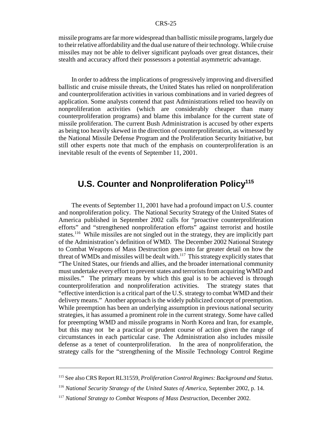missile programs are far more widespread than ballistic missile programs, largely due to their relative affordability and the dual use nature of their technology. While cruise missiles may not be able to deliver significant payloads over great distances, their stealth and accuracy afford their possessors a potential asymmetric advantage.

In order to address the implications of progressively improving and diversified ballistic and cruise missile threats, the United States has relied on nonproliferation and counterproliferation activities in various combinations and in varied degrees of application. Some analysts contend that past Administrations relied too heavily on nonproliferation activities (which are considerably cheaper than many counterproliferation programs) and blame this imbalance for the current state of missile proliferation. The current Bush Administration is accused by other experts as being too heavily skewed in the direction of counterproliferation, as witnessed by the National Missile Defense Program and the Proliferation Security Initiative, but still other experts note that much of the emphasis on counterproliferation is an inevitable result of the events of September 11, 2001.

## **U.S. Counter and Nonproliferation Policy<sup>115</sup>**

The events of September 11, 2001 have had a profound impact on U.S. counter and nonproliferation policy. The National Security Strategy of the United States of America published in September 2002 calls for "proactive counterproliferation efforts" and "strengthened nonproliferation efforts" against terrorist and hostile states.<sup>116</sup> While missiles are not singled out in the strategy, they are implicitly part of the Administration's definition of WMD. The December 2002 National Strategy to Combat Weapons of Mass Destruction goes into far greater detail on how the threat of WMDs and missiles will be dealt with.<sup>117</sup> This strategy explicitly states that "The United States, our friends and allies, and the broader international community must undertake every effort to prevent states and terrorists from acquiring WMD and missiles." The primary means by which this goal is to be achieved is through counterproliferation and nonproliferation activities. The strategy states that "effective interdiction is a critical part of the U.S. strategy to combat WMD and their delivery means." Another approach is the widely publicized concept of preemption. While preemption has been an underlying assumption in previous national security strategies, it has assumed a prominent role in the current strategy. Some have called for preempting WMD and missile programs in North Korea and Iran, for example, but this may not be a practical or prudent course of action given the range of circumstances in each particular case. The Administration also includes missile defense as a tenet of counterproliferation. In the area of nonproliferation, the strategy calls for the "strengthening of the Missile Technology Control Regime

<sup>115</sup> See also CRS Report RL31559, *Proliferation Control Regimes: Background and Status.*

<sup>116</sup> *National Security Strategy of the United States of America,* September 2002, p. 14.

<sup>&</sup>lt;sup>117</sup> National Strategy to Combat Weapons of Mass Destruction, December 2002.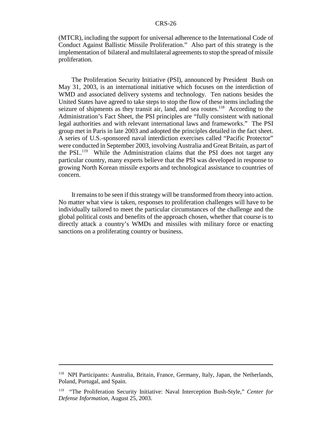(MTCR), including the support for universal adherence to the International Code of Conduct Against Ballistic Missile Proliferation." Also part of this strategy is the implementation of bilateral and multilateral agreements to stop the spread of missile proliferation.

The Proliferation Security Initiative (PSI), announced by President Bush on May 31, 2003, is an international initiative which focuses on the interdiction of WMD and associated delivery systems and technology. Ten nations besides the United States have agreed to take steps to stop the flow of these items including the seizure of shipments as they transit air, land, and sea routes.<sup>118</sup> According to the Administration's Fact Sheet, the PSI principles are "fully consistent with national legal authorities and with relevant international laws and frameworks." The PSI group met in Paris in late 2003 and adopted the principles detailed in the fact sheet. A series of U.S.-sponsored naval interdiction exercises called "Pacific Protector" were conducted in September 2003, involving Australia and Great Britain, as part of the PSI..<sup>119</sup> While the Administration claims that the PSI does not target any particular country, many experts believe that the PSI was developed in response to growing North Korean missile exports and technological assistance to countries of concern.

It remains to be seen if this strategy will be transformed from theory into action. No matter what view is taken, responses to proliferation challenges will have to be individually tailored to meet the particular circumstances of the challenge and the global political costs and benefits of the approach chosen, whether that course is to directly attack a country's WMDs and missiles with military force or enacting sanctions on a proliferating country or business.

<sup>&</sup>lt;sup>118</sup> NPI Participants: Australia, Britain, France, Germany, Italy, Japan, the Netherlands, Poland, Portugal, and Spain.

<sup>119 &</sup>quot;The Proliferation Security Initiative: Naval Interception Bush-Style," *Center for Defense Information,* August 25, 2003.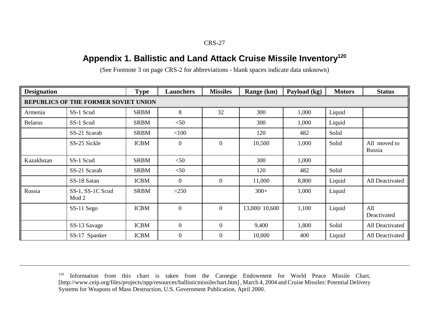## **Appendix 1. Ballistic and Land Attack Cruise Missile Inventory<sup>120</sup>**

| <b>Designation</b> |                                      | <b>Type</b> | <b>Launchers</b> | <b>Missiles</b>  | Range (km)    | Payload (kg) | <b>Motors</b> | <b>Status</b>          |
|--------------------|--------------------------------------|-------------|------------------|------------------|---------------|--------------|---------------|------------------------|
|                    | REPUBLICS OF THE FORMER SOVIET UNION |             |                  |                  |               |              |               |                        |
| Armenia            | SS-1 Scud                            | <b>SRBM</b> | 8                | 32               | 300           | 1,000        | Liquid        |                        |
| <b>Belarus</b>     | SS-1 Scud                            | <b>SRBM</b> | $<$ 50           |                  | 300           | 1,000        | Liquid        |                        |
|                    | SS-21 Scarab                         | <b>SRBM</b> | $<$ 100          |                  | 120           | 482          | Solid         |                        |
|                    | SS-25 Sickle                         | <b>ICBM</b> | $\mathbf{0}$     | $\overline{0}$   | 10,500        | 1,000        | Solid         | All moved to<br>Russia |
| Kazakhstan         | SS-1 Scud                            | <b>SRBM</b> | $<$ 50           |                  | 300           | 1,000        |               |                        |
|                    | SS-21 Scarab                         | <b>SRBM</b> | $<$ 50           |                  | 120           | 482          | Solid         |                        |
|                    | SS-18 Satan                          | <b>ICBM</b> | $\overline{0}$   | $\boldsymbol{0}$ | 11,000        | 8,800        | Liquid        | All Deactivated        |
| Russia             | SS-1, SS-1C Scud<br>Mod <sub>2</sub> | <b>SRBM</b> | >250             |                  | $300+$        | 1,000        | Liquid        |                        |
|                    | SS-11 Sego                           | <b>ICBM</b> | $\boldsymbol{0}$ | $\overline{0}$   | 13,000/10,600 | 1,100        | Liquid        | All<br>Deactivated     |
|                    | SS-13 Savage                         | <b>ICBM</b> | $\overline{0}$   | $\boldsymbol{0}$ | 9,400         | 1,800        | Solid         | All Deactivated        |
|                    | SS-17 Spanker                        | <b>ICBM</b> | $\boldsymbol{0}$ | $\mathbf{0}$     | 10,000        | 400          | Liquid        | All Deactivated        |

(See Footnote 3 on page CRS-2 for abbreviations - blank spaces indicate data unknown)

<sup>&</sup>lt;sup>120</sup> Information from this chart is taken from the Carnegie Endowment for World Peace Missile Chart, [http://www.ceip.org/files/projects/npp/resources/ballisticmissilechart.htm] , March 4, 2004 and Cruise Missiles: Potential Delivery Systems for Weapons of Mass Destruction, U.S. Government Publication, April 2000.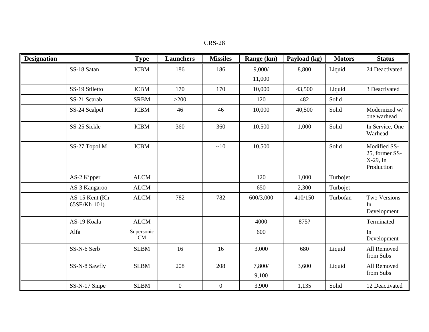| CRS-28 |  |
|--------|--|
|--------|--|

| <b>Designation</b> |                                 | <b>Type</b>      | <b>Launchers</b> | <b>Missiles</b>  | Range (km)      | Payload (kg) | <b>Motors</b> | <b>Status</b>                                            |
|--------------------|---------------------------------|------------------|------------------|------------------|-----------------|--------------|---------------|----------------------------------------------------------|
|                    | SS-18 Satan                     | <b>ICBM</b>      | 186              | 186              | 9,000/          | 8,800        | Liquid        | 24 Deactivated                                           |
|                    |                                 |                  |                  |                  | 11,000          |              |               |                                                          |
|                    | SS-19 Stiletto                  | <b>ICBM</b>      | 170              | 170              | 10,000          | 43,500       | Liquid        | 3 Deactivated                                            |
|                    | SS-21 Scarab                    | <b>SRBM</b>      | $>200$           |                  | 120             | 482          | Solid         |                                                          |
|                    | SS-24 Scalpel                   | <b>ICBM</b>      | 46               | 46               | 10,000          | 40,500       | Solid         | Modernized w/<br>one warhead                             |
|                    | SS-25 Sickle                    | <b>ICBM</b>      | 360              | 360              | 10,500          | 1,000        | Solid         | In Service, One<br>Warhead                               |
|                    | SS-27 Topol M                   | <b>ICBM</b>      |                  | ~10              | 10,500          |              | Solid         | Modified SS-<br>25, former SS-<br>X-29, In<br>Production |
|                    | AS-2 Kipper                     | <b>ALCM</b>      |                  |                  | 120             | 1,000        | Turbojet      |                                                          |
|                    | AS-3 Kangaroo                   | <b>ALCM</b>      |                  |                  | 650             | 2,300        | Turbojet      |                                                          |
|                    | AS-15 Kent (Kh-<br>65SE/Kh-101) | <b>ALCM</b>      | 782              | 782              | 600/3,000       | 410/150      | Turbofan      | Two Versions<br>In<br>Development                        |
|                    | AS-19 Koala                     | <b>ALCM</b>      |                  |                  | 4000            | 875?         |               | Terminated                                               |
|                    | Alfa                            | Supersonic<br>CM |                  |                  | 600             |              |               | In<br>Development                                        |
|                    | SS-N-6 Serb                     | <b>SLBM</b>      | 16               | 16               | 3,000           | 680          | Liquid        | All Removed<br>from Subs                                 |
|                    | SS-N-8 Sawfly                   | <b>SLBM</b>      | 208              | 208              | 7,800/<br>9,100 | 3,600        | Liquid        | All Removed<br>from Subs                                 |
|                    | SS-N-17 Snipe                   | <b>SLBM</b>      | $\boldsymbol{0}$ | $\boldsymbol{0}$ | 3,900           | 1,135        | Solid         | 12 Deactivated                                           |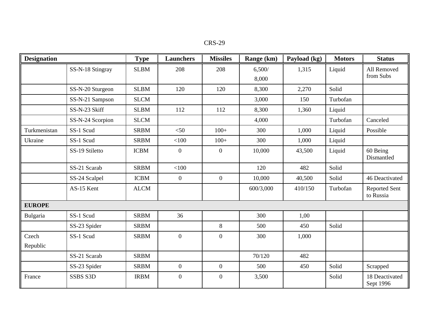| CRS-29 |  |
|--------|--|
|--------|--|

| <b>Designation</b> |                  | <b>Type</b> | <b>Launchers</b> | <b>Missiles</b>  | Range (km) | Payload (kg) | <b>Motors</b> | <b>Status</b>                     |
|--------------------|------------------|-------------|------------------|------------------|------------|--------------|---------------|-----------------------------------|
|                    | SS-N-18 Stingray | <b>SLBM</b> | 208              | 208              | 6,500/     | 1,315        | Liquid        | All Removed                       |
|                    |                  |             |                  |                  | 8,000      |              |               | from Subs                         |
|                    | SS-N-20 Sturgeon | <b>SLBM</b> | 120              | 120              | 8,300      | 2,270        | Solid         |                                   |
|                    | SS-N-21 Sampson  | <b>SLCM</b> |                  |                  | 3,000      | 150          | Turbofan      |                                   |
|                    | SS-N-23 Skiff    | <b>SLBM</b> | 112              | 112              | 8,300      | 1,360        | Liquid        |                                   |
|                    | SS-N-24 Scorpion | <b>SLCM</b> |                  |                  | 4,000      |              | Turbofan      | Canceled                          |
| Turkmenistan       | SS-1 Scud        | <b>SRBM</b> | $<$ 50           | $100+$           | 300        | 1,000        | Liquid        | Possible                          |
| Ukraine            | SS-1 Scud        | <b>SRBM</b> | $<$ 100          | $100+$           | 300        | 1,000        | Liquid        |                                   |
|                    | SS-19 Stiletto   | <b>ICBM</b> | $\boldsymbol{0}$ | $\boldsymbol{0}$ | 10,000     | 43,500       | Liquid        | 60 Being<br>Dismantled            |
|                    | SS-21 Scarab     | <b>SRBM</b> | < 100            |                  | 120        | 482          | Solid         |                                   |
|                    | SS-24 Scalpel    | <b>ICBM</b> | $\overline{0}$   | $\boldsymbol{0}$ | 10,000     | 40,500       | Solid         | 46 Deactivated                    |
|                    | AS-15 Kent       | <b>ALCM</b> |                  |                  | 600/3,000  | 410/150      | Turbofan      | <b>Reported Sent</b><br>to Russia |
| <b>EUROPE</b>      |                  |             |                  |                  |            |              |               |                                   |
| Bulgaria           | SS-1 Scud        | <b>SRBM</b> | 36               |                  | 300        | 1,00         |               |                                   |
|                    | SS-23 Spider     | <b>SRBM</b> |                  | 8                | 500        | 450          | Solid         |                                   |
| Czech              | SS-1 Scud        | <b>SRBM</b> | $\boldsymbol{0}$ | $\mathbf{0}$     | 300        | 1,000        |               |                                   |
| Republic           |                  |             |                  |                  |            |              |               |                                   |
|                    | SS-21 Scarab     | <b>SRBM</b> |                  |                  | 70/120     | 482          |               |                                   |
|                    | SS-23 Spider     | <b>SRBM</b> | $\overline{0}$   | $\boldsymbol{0}$ | 500        | 450          | Solid         | Scrapped                          |
| France             | SSBS S3D         | <b>IRBM</b> | $\overline{0}$   | $\boldsymbol{0}$ | 3,500      |              | Solid         | 18 Deactivated<br>Sept 1996       |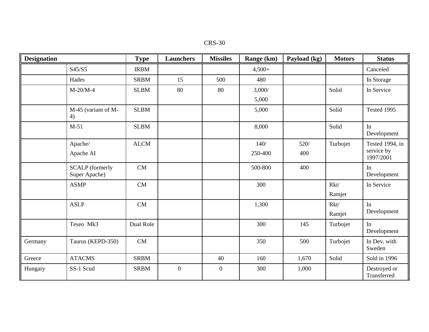| CRS-30 |  |
|--------|--|
|--------|--|

| <b>Designation</b> |                                         | <b>Type</b> | <b>Launchers</b> | <b>Missiles</b>  | Range (km) | Payload (kg) | <b>Motors</b> | <b>Status</b>               |
|--------------------|-----------------------------------------|-------------|------------------|------------------|------------|--------------|---------------|-----------------------------|
|                    | S45/S5                                  | <b>IRBM</b> |                  |                  | $4,500+$   |              |               | Canceled                    |
|                    | Hades                                   | <b>SRBM</b> | 15               | 500              | 480        |              |               | In Storage                  |
|                    | $M-20/M-4$                              | <b>SLBM</b> | 80               | 80               | 3,000/     |              | Solid         | In Service                  |
|                    |                                         |             |                  |                  | 5,000      |              |               |                             |
|                    | M-45 (variant of M-<br>4)               | <b>SLBM</b> |                  |                  | 5,000      |              | Solid         | Tested 1995                 |
|                    | $M-51$                                  | <b>SLBM</b> |                  |                  | 8,000      |              | Solid         | In<br>Development           |
|                    | Apache/                                 | <b>ALCM</b> |                  |                  | 140/       | 520/         | Turbojet      | Tested 1994, in             |
|                    | Apache AI                               |             |                  |                  | 250-400    | 400          |               | service by<br>1997/2001     |
|                    | <b>SCALP</b> (formerly<br>Super Apache) | CM          |                  |                  | 500-800    | 400          |               | In<br>Development           |
|                    | <b>ASMP</b>                             | CM          |                  |                  | 300        |              | Rkt/          | In Service                  |
|                    |                                         |             |                  |                  |            |              | Ramjet        |                             |
|                    | <b>ASLP</b>                             | CM          |                  |                  | 1,300      |              | Rkt/          | In                          |
|                    |                                         |             |                  |                  |            |              | Ramjet        | Development                 |
|                    | Teseo Mk3                               | Dual Role   |                  |                  | 300        | 145          | Turbojet      | In<br>Development           |
| Germany            | Taurus (KEPD-350)                       | CM          |                  |                  | 350        | 500          | Turbojet      | In Dev. with<br>Sweden      |
| Greece             | <b>ATACMS</b>                           | <b>SRBM</b> |                  | 40               | 160        | 1,670        | Solid         | Sold in 1996                |
| Hungary            | SS-1 Scud                               | <b>SRBM</b> | $\boldsymbol{0}$ | $\boldsymbol{0}$ | 300        | 1,000        |               | Destroyed or<br>Transferred |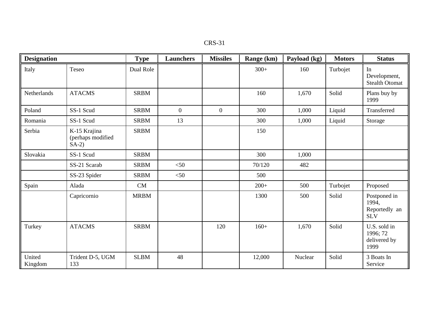| CRS-31 |  |
|--------|--|
|        |  |

| <b>Designation</b> |                                              | <b>Type</b> | <b>Launchers</b> | <b>Missiles</b>  | Range (km) | Payload (kg) | <b>Motors</b> | <b>Status</b>                                        |
|--------------------|----------------------------------------------|-------------|------------------|------------------|------------|--------------|---------------|------------------------------------------------------|
| Italy              | Teseo                                        | Dual Role   |                  |                  | $300+$     | 160          | Turbojet      | In<br>Development,<br><b>Stealth Otomat</b>          |
| Netherlands        | <b>ATACMS</b>                                | <b>SRBM</b> |                  |                  | 160        | 1,670        | Solid         | Plans buy by<br>1999                                 |
| Poland             | SS-1 Scud                                    | <b>SRBM</b> | $\overline{0}$   | $\boldsymbol{0}$ | 300        | 1,000        | Liquid        | Transferred                                          |
| Romania            | SS-1 Scud                                    | <b>SRBM</b> | 13               |                  | 300        | 1,000        | Liquid        | Storage                                              |
| Serbia             | K-15 Krajina<br>(perhaps modified<br>$SA-2)$ | <b>SRBM</b> |                  |                  | 150        |              |               |                                                      |
| Slovakia           | SS-1 Scud                                    | <b>SRBM</b> |                  |                  | 300        | 1,000        |               |                                                      |
|                    | SS-21 Scarab                                 | <b>SRBM</b> | $<$ 50           |                  | 70/120     | 482          |               |                                                      |
|                    | SS-23 Spider                                 | <b>SRBM</b> | $<$ 50           |                  | 500        |              |               |                                                      |
| Spain              | Alada                                        | CM          |                  |                  | $200+$     | 500          | Turbojet      | Proposed                                             |
|                    | Capricornio                                  | <b>MRBM</b> |                  |                  | 1300       | 500          | Solid         | Postponed in<br>1994,<br>Reportedly an<br><b>SLV</b> |
| Turkey             | <b>ATACMS</b>                                | <b>SRBM</b> |                  | 120              | $160+$     | 1,670        | Solid         | U.S. sold in<br>1996; 72<br>delivered by<br>1999     |
| United<br>Kingdom  | Trident D-5, UGM<br>133                      | <b>SLBM</b> | 48               |                  | 12,000     | Nuclear      | Solid         | 3 Boats In<br>Service                                |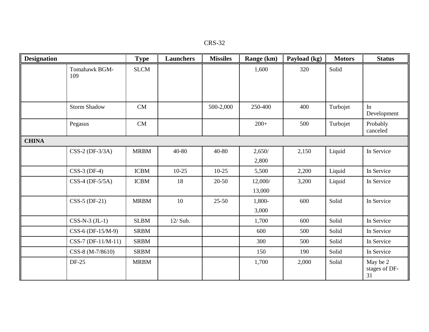| <b>CRS-32</b> |
|---------------|
|---------------|

| <b>Designation</b> |                      | <b>Type</b> | <b>Launchers</b> | <b>Missiles</b> | Range (km) | Payload (kg) | <b>Motors</b> | <b>Status</b>                   |
|--------------------|----------------------|-------------|------------------|-----------------|------------|--------------|---------------|---------------------------------|
|                    | Tomahawk BGM-<br>109 | <b>SLCM</b> |                  |                 | 1,600      | 320          | Solid         |                                 |
|                    |                      |             |                  |                 |            |              |               |                                 |
|                    | <b>Storm Shadow</b>  | CM          |                  | 500-2,000       | 250-400    | 400          | Turbojet      | In<br>Development               |
|                    | Pegasus              | CM          |                  |                 | $200+$     | 500          | Turbojet      | Probably<br>canceled            |
| <b>CHINA</b>       |                      |             |                  |                 |            |              |               |                                 |
|                    | $CSS-2 (DF-3/3A)$    | <b>MRBM</b> | 40-80            | 40-80           | 2,650/     | 2,150        | Liquid        | In Service                      |
|                    |                      |             |                  |                 | 2,800      |              |               |                                 |
|                    | $CSS-3$ (DF-4)       | <b>ICBM</b> | $10-25$          | $10-25$         | 5,500      | 2,200        | Liquid        | In Service                      |
|                    | $CSS-4$ (DF-5/5A)    | <b>ICBM</b> | 18               | 20-50           | 12,000/    | 3,200        | Liquid        | In Service                      |
|                    |                      |             |                  |                 | 13,000     |              |               |                                 |
|                    | $CSS-5 (DF-21)$      | <b>MRBM</b> | 10               | $25 - 50$       | 1,800-     | 600          | Solid         | In Service                      |
|                    |                      |             |                  |                 | 3,000      |              |               |                                 |
|                    | $CSS-N-3$ $(JL-1)$   | <b>SLBM</b> | 12/ Sub.         |                 | 1,700      | 600          | Solid         | In Service                      |
|                    | CSS-6 (DF-15/M-9)    | <b>SRBM</b> |                  |                 | 600        | 500          | Solid         | In Service                      |
|                    | $CSS-7 (DF-11/M-11)$ | <b>SRBM</b> |                  |                 | 300        | 500          | Solid         | In Service                      |
|                    | CSS-8 (M-7/8610)     | <b>SRBM</b> |                  |                 | 150        | 190          | Solid         | In Service                      |
|                    | <b>DF-25</b>         | <b>MRBM</b> |                  |                 | 1,700      | 2,000        | Solid         | May be 2<br>stages of DF-<br>31 |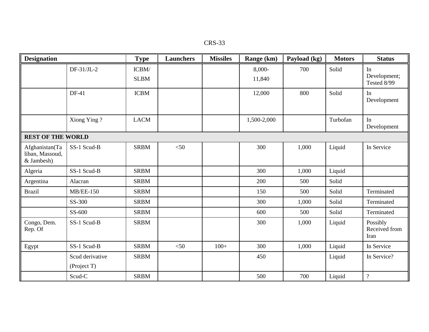| CRS-33 |  |
|--------|--|
|--------|--|

| <b>Designation</b>                              |                                | <b>Type</b>          | <b>Launchers</b> | <b>Missiles</b> | Range (km)       | Payload (kg) | <b>Motors</b> | <b>Status</b>                     |
|-------------------------------------------------|--------------------------------|----------------------|------------------|-----------------|------------------|--------------|---------------|-----------------------------------|
|                                                 | $DF-31/JL-2$                   | ICBM/<br><b>SLBM</b> |                  |                 | 8,000-<br>11,840 | 700          | Solid         | In<br>Development;<br>Tested 8/99 |
|                                                 | DF-41                          | <b>ICBM</b>          |                  |                 | 12,000           | 800          | Solid         | In<br>Development                 |
|                                                 | Xiong Ying?                    | <b>LACM</b>          |                  |                 | 1,500-2,000      |              | Turbofan      | In<br>Development                 |
| <b>REST OF THE WORLD</b>                        |                                |                      |                  |                 |                  |              |               |                                   |
| Afghanistan(Ta<br>liban, Massoud,<br>& Jambesh) | SS-1 Scud-B                    | <b>SRBM</b>          | $<$ 50           |                 | 300              | 1,000        | Liquid        | In Service                        |
| Algeria                                         | SS-1 Scud-B                    | <b>SRBM</b>          |                  |                 | 300              | 1,000        | Liquid        |                                   |
| Argentina                                       | Alacran                        | <b>SRBM</b>          |                  |                 | 200              | 500          | Solid         |                                   |
| <b>Brazil</b>                                   | $MB/EE-150$                    | <b>SRBM</b>          |                  |                 | 150              | 500          | Solid         | Terminated                        |
|                                                 | SS-300                         | <b>SRBM</b>          |                  |                 | 300              | 1,000        | Solid         | Terminated                        |
|                                                 | SS-600                         | <b>SRBM</b>          |                  |                 | 600              | 500          | Solid         | Terminated                        |
| Congo, Dem.<br>Rep. Of                          | SS-1 Scud-B                    | <b>SRBM</b>          |                  |                 | 300              | 1,000        | Liquid        | Possibly<br>Received from<br>Iran |
| Egypt                                           | SS-1 Scud-B                    | <b>SRBM</b>          | $<$ 50           | $100+$          | 300              | 1,000        | Liquid        | In Service                        |
|                                                 | Scud derivative<br>(Project T) | <b>SRBM</b>          |                  |                 | 450              |              | Liquid        | In Service?                       |
|                                                 | Scud-C                         | <b>SRBM</b>          |                  |                 | 500              | 700          | Liquid        | $\overline{?}$                    |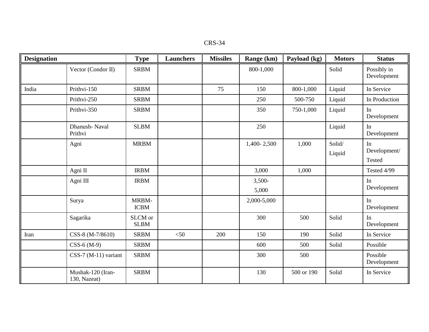| CRS-34 |
|--------|
|--------|

| <b>Designation</b> |                                   | <b>Type</b>            | <b>Launchers</b> | <b>Missiles</b> | Range (km)      | Payload (kg) | <b>Motors</b>    | <b>Status</b>                       |
|--------------------|-----------------------------------|------------------------|------------------|-----------------|-----------------|--------------|------------------|-------------------------------------|
|                    | Vector (Condor II)                | <b>SRBM</b>            |                  |                 | 800-1,000       |              | Solid            | Possibly in<br>Development          |
| India              | Prithvi-150                       | <b>SRBM</b>            |                  | 75              | 150             | 800-1,000    | Liquid           | In Service                          |
|                    | Prithvi-250                       | <b>SRBM</b>            |                  |                 | 250             | 500-750      | Liquid           | In Production                       |
|                    | Prithvi-350                       | <b>SRBM</b>            |                  |                 | 350             | 750-1,000    | Liquid           | In<br>Development                   |
|                    | Dhanush-Naval<br>Prithvi          | <b>SLBM</b>            |                  |                 | 250             |              | Liquid           | In<br>Development                   |
|                    | Agni                              | <b>MRBM</b>            |                  |                 | 1,400-2,500     | 1,000        | Solid/<br>Liquid | In<br>Development/<br><b>Tested</b> |
|                    | Agni II                           | <b>IRBM</b>            |                  |                 | 3,000           | 1,000        |                  | Tested 4/99                         |
|                    | Agni III                          | <b>IRBM</b>            |                  |                 | 3,500-<br>5,000 |              |                  | In<br>Development                   |
|                    | Surya                             | MRBM-<br><b>ICBM</b>   |                  |                 | 2,000-5,000     |              |                  | In<br>Development                   |
|                    | Sagarika                          | SLCM or<br><b>SLBM</b> |                  |                 | 300             | 500          | Solid            | In<br>Development                   |
| Iran               | CSS-8 (M-7/8610)                  | <b>SRBM</b>            | $<$ 50           | 200             | 150             | 190          | Solid            | In Service                          |
|                    | $CSS-6(M-9)$                      | <b>SRBM</b>            |                  |                 | 600             | 500          | Solid            | Possible                            |
|                    | $CSS-7 (M-11)$ variant            | <b>SRBM</b>            |                  |                 | 300             | 500          |                  | Possible<br>Development             |
|                    | Mushak-120 (Iran-<br>130, Nazeat) | <b>SRBM</b>            |                  |                 | 130             | 500 or 190   | Solid            | In Service                          |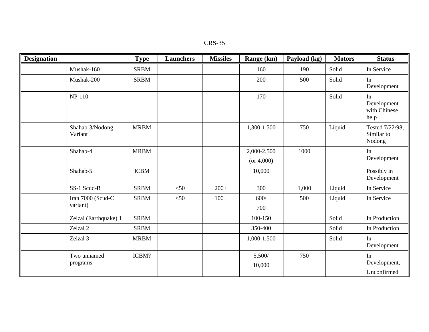| CRS-35 |  |
|--------|--|
|--------|--|

| <b>Designation</b> |                               | <b>Type</b> | <b>Launchers</b> | <b>Missiles</b> | Range (km)                | Payload (kg) | <b>Motors</b> | <b>Status</b>                             |
|--------------------|-------------------------------|-------------|------------------|-----------------|---------------------------|--------------|---------------|-------------------------------------------|
|                    | Mushak-160                    | <b>SRBM</b> |                  |                 | 160                       | 190          | Solid         | In Service                                |
|                    | Mushak-200                    | <b>SRBM</b> |                  |                 | 200                       | 500          | Solid         | In<br>Development                         |
|                    | $NP-110$                      |             |                  |                 | 170                       |              | Solid         | In<br>Development<br>with Chinese<br>help |
|                    | Shahab-3/Nodong<br>Variant    | <b>MRBM</b> |                  |                 | 1,300-1,500               | 750          | Liquid        | Tested 7/22/98,<br>Similar to<br>Nodong   |
|                    | Shahab-4                      | <b>MRBM</b> |                  |                 | 2,000-2,500<br>(or 4,000) | 1000         |               | In<br>Development                         |
|                    | Shahab-5                      | <b>ICBM</b> |                  |                 | 10,000                    |              |               | Possibly in<br>Development                |
|                    | SS-1 Scud-B                   | <b>SRBM</b> | $<$ 50           | $200+$          | 300                       | 1,000        | Liquid        | In Service                                |
|                    | Iran 7000 (Scud-C<br>variant) | <b>SRBM</b> | $<$ 50           | $100+$          | $600/$<br>700             | 500          | Liquid        | In Service                                |
|                    | Zelzal (Earthquake) 1         | <b>SRBM</b> |                  |                 | 100-150                   |              | Solid         | In Production                             |
|                    | Zelzal 2                      | <b>SRBM</b> |                  |                 | 350-400                   |              | Solid         | In Production                             |
|                    | Zelzal 3                      | <b>MRBM</b> |                  |                 | 1,000-1,500               |              | Solid         | In<br>Development                         |
|                    | Two unnamed<br>programs       | ICBM?       |                  |                 | 5,500/<br>10,000          | 750          |               | In<br>Development,<br>Unconfirmed         |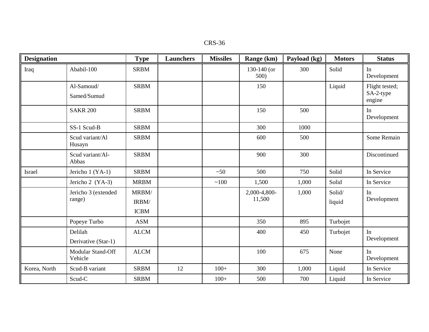| CRS-36 |  |  |
|--------|--|--|
|--------|--|--|

| <b>Designation</b> |                                | <b>Type</b>                   | <b>Launchers</b> | <b>Missiles</b> | Range (km)             | Payload (kg) | <b>Motors</b>    | <b>Status</b>                         |
|--------------------|--------------------------------|-------------------------------|------------------|-----------------|------------------------|--------------|------------------|---------------------------------------|
| Iraq               | Ababil-100                     | <b>SRBM</b>                   |                  |                 | 130-140 (or<br>500)    | 300          | Solid            | In<br>Development                     |
|                    | Al-Samoud/<br>Samed/Sumud      | <b>SRBM</b>                   |                  |                 | 150                    |              | Liquid           | Flight tested;<br>SA-2-type<br>engine |
|                    | <b>SAKR 200</b>                | <b>SRBM</b>                   |                  |                 | 150                    | 500          |                  | In<br>Development                     |
|                    | SS-1 Scud-B                    | <b>SRBM</b>                   |                  |                 | 300                    | 1000         |                  |                                       |
|                    | Scud variant/Al<br>Husayn      | <b>SRBM</b>                   |                  |                 | 600                    | 500          |                  | Some Remain                           |
|                    | Scud variant/Al-<br>Abbas      | <b>SRBM</b>                   |                  |                 | 900                    | 300          |                  | Discontinued                          |
| Israel             | Jericho 1 (YA-1)               | <b>SRBM</b>                   |                  | ~50             | 500                    | 750          | Solid            | In Service                            |
|                    | Jericho 2 (YA-3)               | <b>MRBM</b>                   |                  | ~100            | 1,500                  | 1,000        | Solid            | In Service                            |
|                    | Jericho 3 (extended<br>range)  | MRBM/<br>IRBM/<br><b>ICBM</b> |                  |                 | 2,000-4,800-<br>11,500 | 1,000        | Solid/<br>liquid | In<br>Development                     |
|                    | Popeye Turbo                   | <b>ASM</b>                    |                  |                 | 350                    | 895          | Turbojet         |                                       |
|                    | Delilah<br>Derivative (Star-1) | <b>ALCM</b>                   |                  |                 | 400                    | 450          | Turbojet         | In<br>Development                     |
|                    | Modular Stand-Off<br>Vehicle   | <b>ALCM</b>                   |                  |                 | 100                    | 675          | None             | In<br>Development                     |
| Korea, North       | Scud-B variant                 | <b>SRBM</b>                   | 12               | $100+$          | 300                    | 1,000        | Liquid           | In Service                            |
|                    | Scud-C                         | <b>SRBM</b>                   |                  | $100+$          | 500                    | 700          | Liquid           | In Service                            |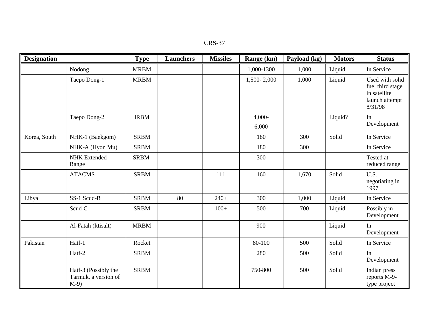| <b>Designation</b> |                                                       | <b>Type</b> | <b>Launchers</b> | <b>Missiles</b> | Range (km)        | Payload (kg) | <b>Motors</b> | <b>Status</b>                                                                    |
|--------------------|-------------------------------------------------------|-------------|------------------|-----------------|-------------------|--------------|---------------|----------------------------------------------------------------------------------|
|                    | Nodong                                                | <b>MRBM</b> |                  |                 | 1,000-1300        | 1,000        | Liquid        | In Service                                                                       |
|                    | Taepo Dong-1                                          | <b>MRBM</b> |                  |                 | 1,500-2,000       | 1,000        | Liquid        | Used with solid<br>fuel third stage<br>in satellite<br>launch attempt<br>8/31/98 |
|                    | Taepo Dong-2                                          | <b>IRBM</b> |                  |                 | $4,000-$<br>6,000 |              | Liquid?       | In<br>Development                                                                |
| Korea, South       | NHK-1 (Baekgom)                                       | <b>SRBM</b> |                  |                 | 180               | 300          | Solid         | In Service                                                                       |
|                    | NHK-A (Hyon Mu)                                       | <b>SRBM</b> |                  |                 | 180               | 300          |               | In Service                                                                       |
|                    | <b>NHK</b> Extended<br>Range                          | <b>SRBM</b> |                  |                 | 300               |              |               | Tested at<br>reduced range                                                       |
|                    | <b>ATACMS</b>                                         | <b>SRBM</b> |                  | 111             | 160               | 1,670        | Solid         | U.S.<br>negotiating in<br>1997                                                   |
| Libya              | SS-1 Scud-B                                           | <b>SRBM</b> | 80               | $240+$          | 300               | 1,000        | Liquid        | In Service                                                                       |
|                    | Scud-C                                                | <b>SRBM</b> |                  | $100+$          | 500               | 700          | Liquid        | Possibly in<br>Development                                                       |
|                    | Al-Fatah (lttisalt)                                   | <b>MRBM</b> |                  |                 | 900               |              | Liquid        | In<br>Development                                                                |
| Pakistan           | Hatf-1                                                | Rocket      |                  |                 | 80-100            | 500          | Solid         | In Service                                                                       |
|                    | Hatf-2                                                | <b>SRBM</b> |                  |                 | 280               | 500          | Solid         | In<br>Development                                                                |
|                    | Hatf-3 (Possibly the<br>Tarmuk, a version of<br>$M-9$ | <b>SRBM</b> |                  |                 | 750-800           | 500          | Solid         | Indian press<br>reports M-9-<br>type project                                     |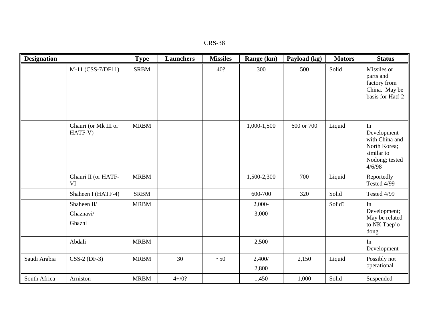| <b>CRS-38</b> |  |
|---------------|--|
|---------------|--|

| <b>Designation</b> |                                    | <b>Type</b> | <b>Launchers</b> | <b>Missiles</b> | Range (km)        | Payload (kg) | <b>Motors</b> | <b>Status</b>                                                                                 |
|--------------------|------------------------------------|-------------|------------------|-----------------|-------------------|--------------|---------------|-----------------------------------------------------------------------------------------------|
|                    | M-11 (CSS-7/DF11)                  | <b>SRBM</b> |                  | 40?             | 300               | 500          | Solid         | Missiles or<br>parts and<br>factory from<br>China. May be<br>basis for Hatf-2                 |
|                    | Ghauri (or Mk III or<br>HATF-V)    | <b>MRBM</b> |                  |                 | 1,000-1,500       | 600 or 700   | Liquid        | In<br>Development<br>with China and<br>North Korea;<br>similar to<br>Nodong; tested<br>4/6/98 |
|                    | Ghauri II (or HATF-<br>VI          | <b>MRBM</b> |                  |                 | 1,500-2,300       | 700          | Liquid        | Reportedly<br>Tested 4/99                                                                     |
|                    | Shaheen I (HATF-4)                 | <b>SRBM</b> |                  |                 | 600-700           | 320          | Solid         | Tested 4/99                                                                                   |
|                    | Shaheen II/<br>Ghaznavi/<br>Ghazni | <b>MRBM</b> |                  |                 | $2,000-$<br>3,000 |              | Solid?        | In<br>Development;<br>May be related<br>to NK Taep'o-<br>dong                                 |
|                    | Abdali                             | <b>MRBM</b> |                  |                 | 2,500             |              |               | In<br>Development                                                                             |
| Saudi Arabia       | $CSS-2 (DF-3)$                     | <b>MRBM</b> | 30               | ~50             | 2,400/<br>2,800   | 2,150        | Liquid        | Possibly not<br>operational                                                                   |
| South Africa       | Arniston                           | <b>MRBM</b> | $4 + / 0?$       |                 | 1,450             | 1,000        | Solid         | Suspended                                                                                     |